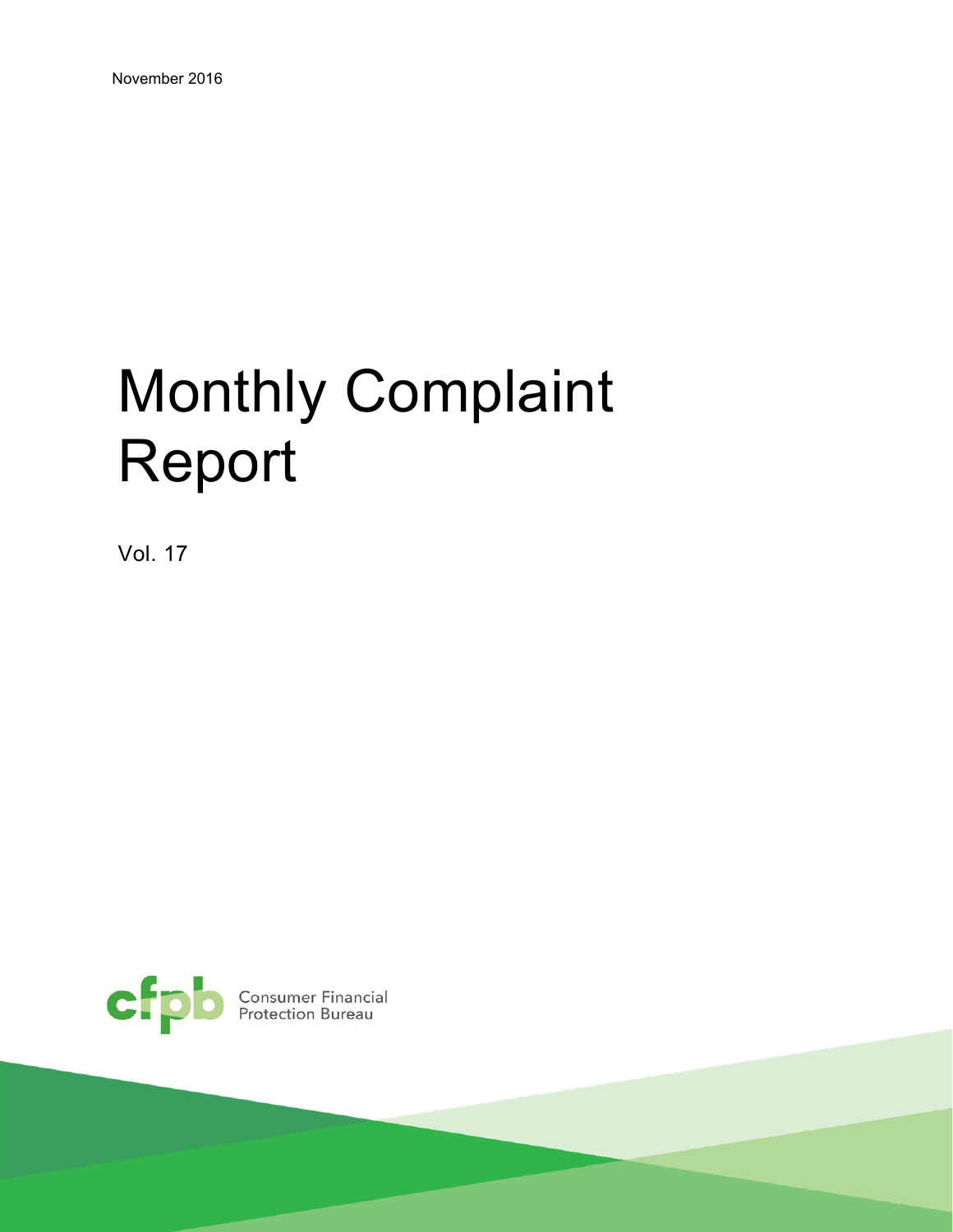# Monthly Complaint Report

Vol. 17

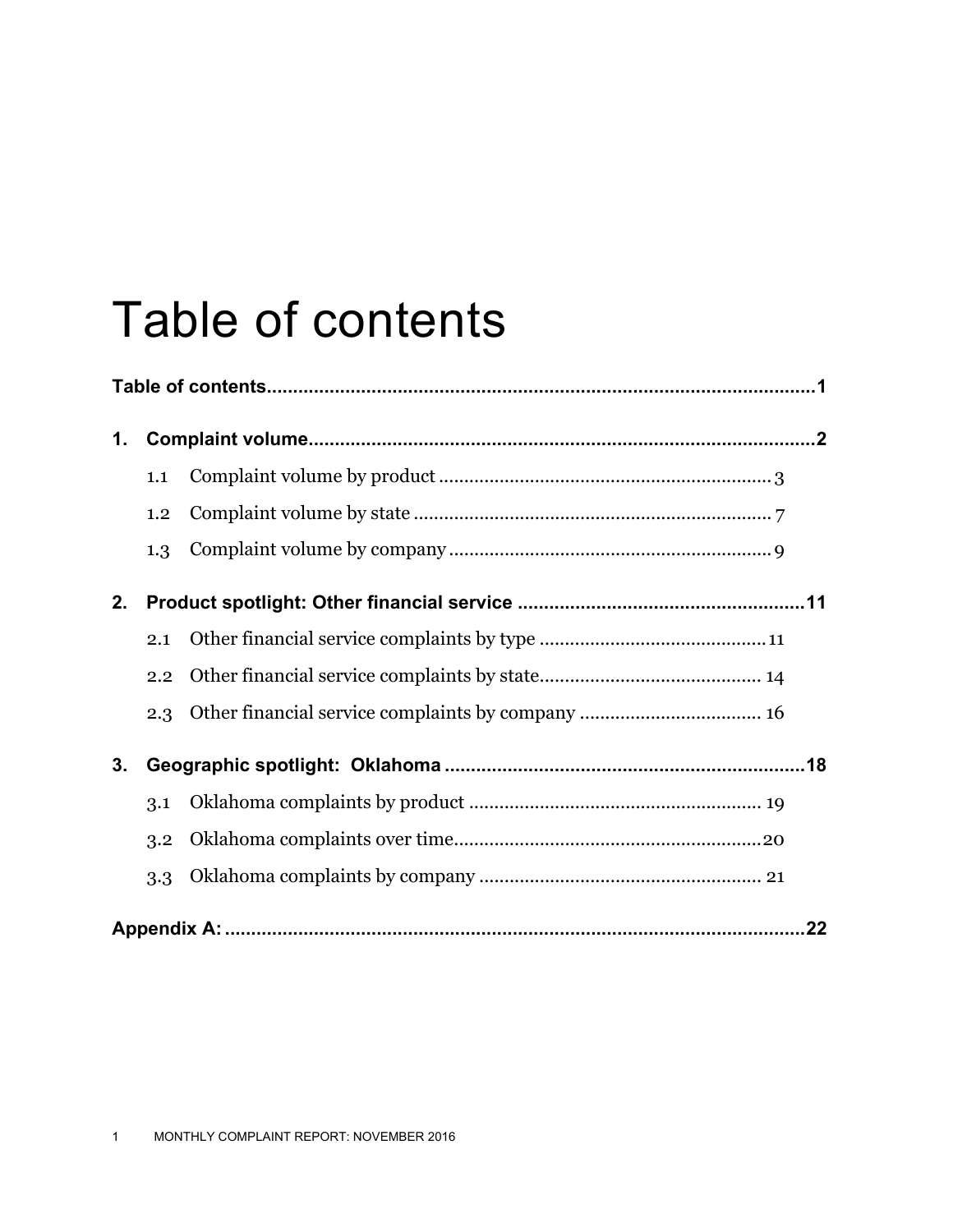## Table of contents

| 1. |     |  |
|----|-----|--|
|    | 1.1 |  |
|    | 1.2 |  |
|    | 1.3 |  |
| 2. |     |  |
|    | 2.1 |  |
|    | 2.2 |  |
|    | 2.3 |  |
| 3. |     |  |
|    | 3.1 |  |
|    | 3.2 |  |
|    | 3.3 |  |
|    |     |  |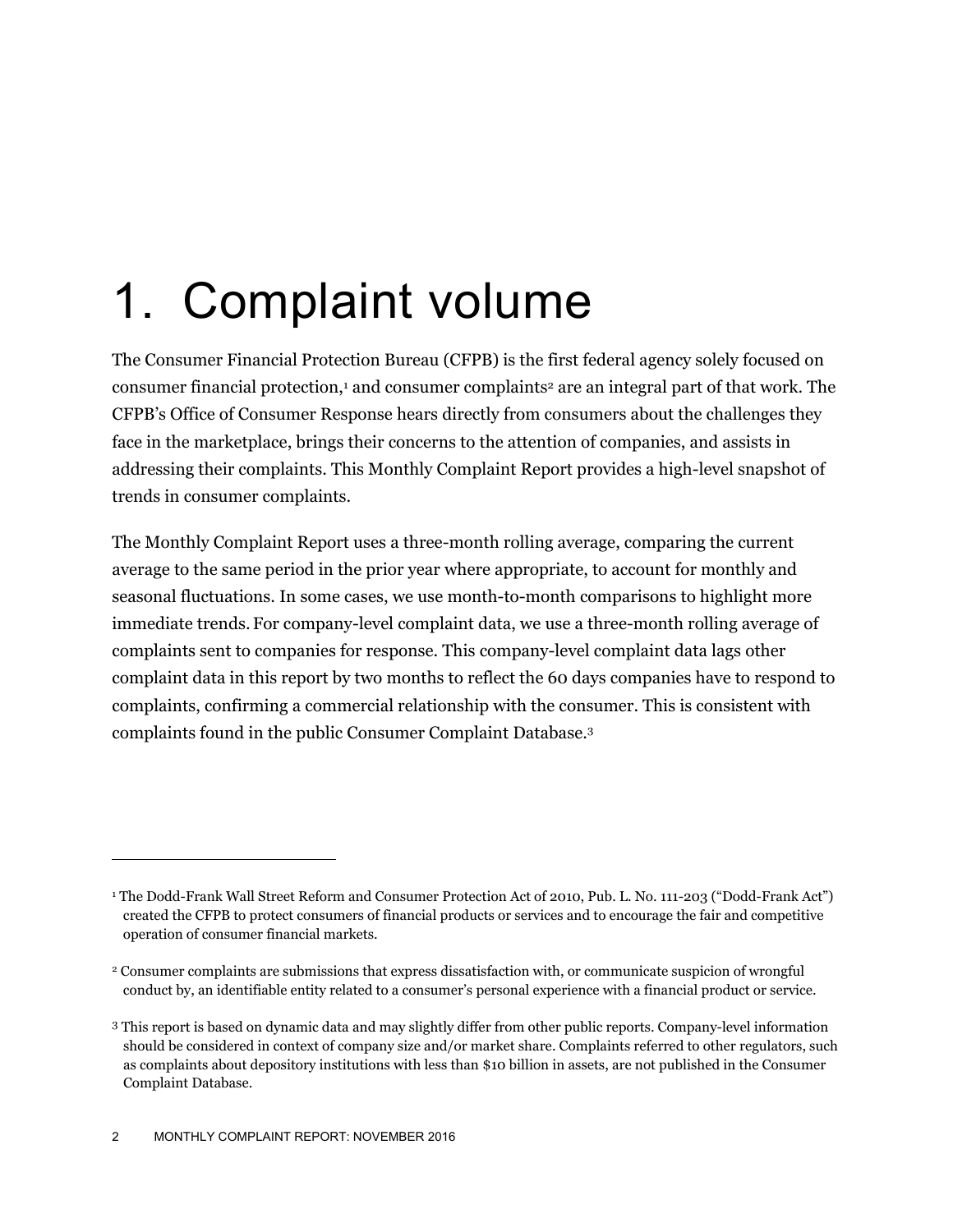## 1. Complaint volume

The Consumer Financial Protection Bureau (CFPB) is the first federal agency solely focused on consumer financial protection,<sup>1</sup> and consumer complaints<sup>2</sup> are an integral part of that work. The CFPB's Office of Consumer Response hears directly from consumers about the challenges they face in the marketplace, brings their concerns to the attention of companies, and assists in addressing their complaints. This Monthly Complaint Report provides a high-level snapshot of trends in consumer complaints.

The Monthly Complaint Report uses a three-month rolling average, comparing the current average to the same period in the prior year where appropriate, to account for monthly and seasonal fluctuations. In some cases, we use month-to-month comparisons to highlight more immediate trends. For company-level complaint data, we use a three-month rolling average of complaints sent to companies for response. This company-level complaint data lags other complaint data in this report by two months to reflect the 60 days companies have to respond to complaints, confirming a commercial relationship with the consumer. This is consistent with complaints found in the public Consumer Complaint Database.3

-

<sup>1</sup> The Dodd-Frank Wall Street Reform and Consumer Protection Act of 2010, Pub. L. No. 111-203 ("Dodd-Frank Act") created the CFPB to protect consumers of financial products or services and to encourage the fair and competitive operation of consumer financial markets.

<sup>2</sup> Consumer complaints are submissions that express dissatisfaction with, or communicate suspicion of wrongful conduct by, an identifiable entity related to a consumer's personal experience with a financial product or service.

<sup>3</sup> This report is based on dynamic data and may slightly differ from other public reports. Company-level information should be considered in context of company size and/or market share. Complaints referred to other regulators, such as complaints about depository institutions with less than \$10 billion in assets, are not published in the Consumer Complaint Database.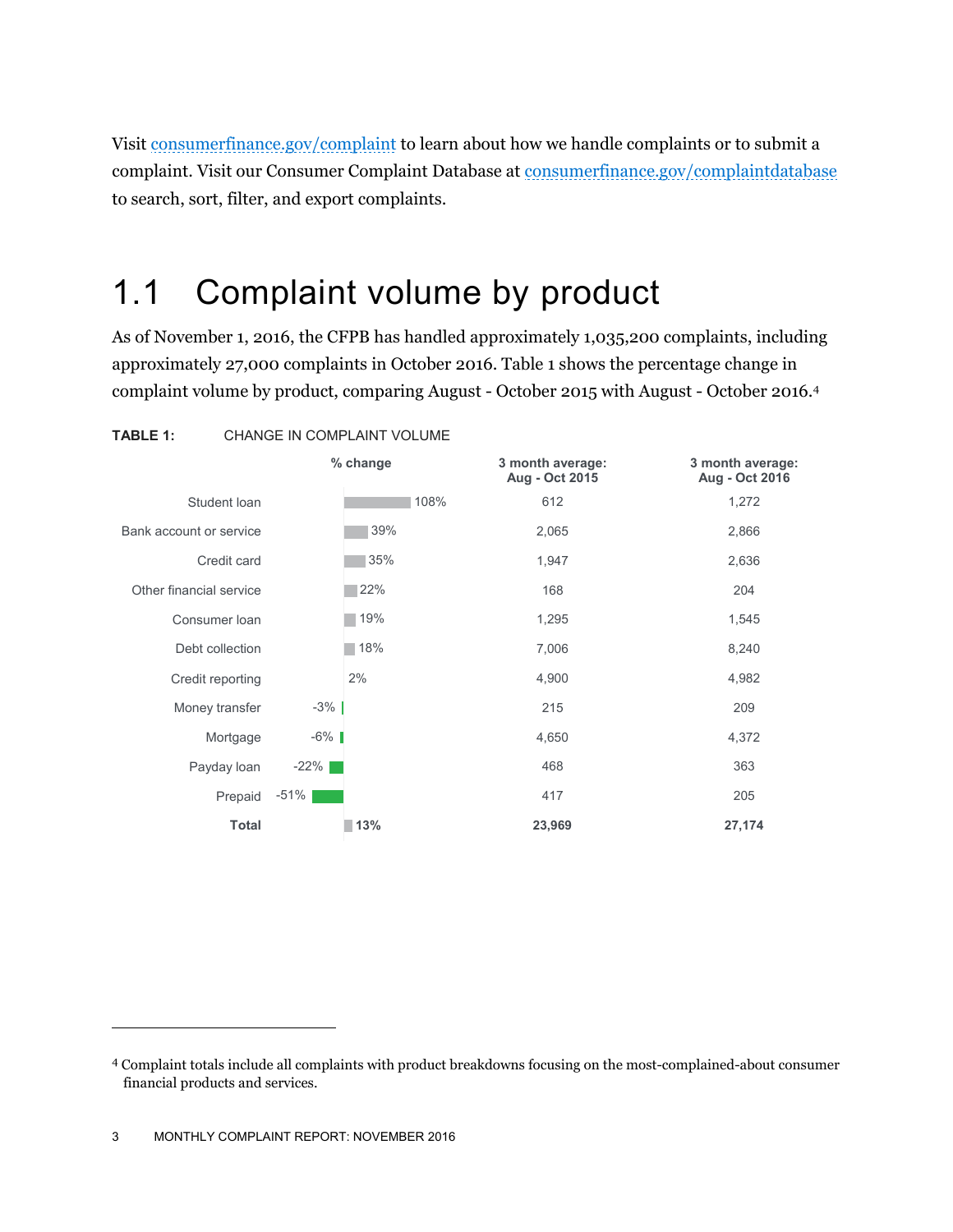Visit consumerfinance.gov/complaint to learn about how we handle complaints or to submit a complaint. Visit our Consumer Complaint Database at consumerfinance.gov/complaintdatabase to search, sort, filter, and export complaints.

#### 1.1 Complaint volume by product

As of November 1, 2016, the CFPB has handled approximately 1,035,200 complaints, including approximately 27,000 complaints in October 2016. Table 1 shows the percentage change in complaint volume by product, comparing August - October 2015 with August - October 2016.4



<sup>4</sup> Complaint totals include all complaints with product breakdowns focusing on the most-complained-about consumer financial products and services.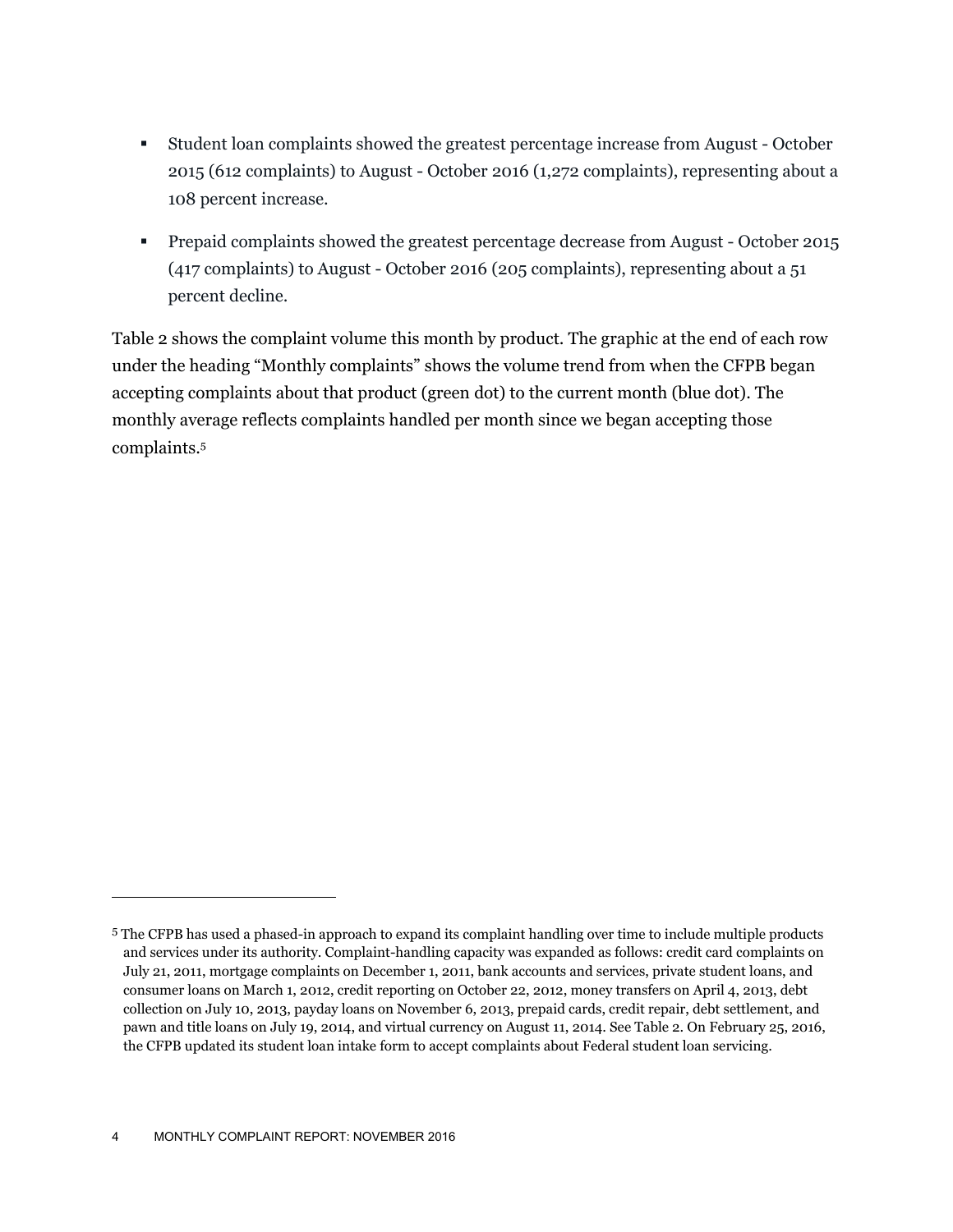- Student loan complaints showed the greatest percentage increase from August October 2015 (612 complaints) to August - October 2016 (1,272 complaints), representing about a 108 percent increase.
- Prepaid complaints showed the greatest percentage decrease from August October 2015 (417 complaints) to August - October 2016 (205 complaints), representing about a 51 percent decline.

Table 2 shows the complaint volume this month by product. The graphic at the end of each row under the heading "Monthly complaints" shows the volume trend from when the CFPB began accepting complaints about that product (green dot) to the current month (blue dot). The monthly average reflects complaints handled per month since we began accepting those complaints.5

-

<sup>5</sup> The CFPB has used a phased-in approach to expand its complaint handling over time to include multiple products and services under its authority. Complaint-handling capacity was expanded as follows: credit card complaints on July 21, 2011, mortgage complaints on December 1, 2011, bank accounts and services, private student loans, and consumer loans on March 1, 2012, credit reporting on October 22, 2012, money transfers on April 4, 2013, debt collection on July 10, 2013, payday loans on November 6, 2013, prepaid cards, credit repair, debt settlement, and pawn and title loans on July 19, 2014, and virtual currency on August 11, 2014. See Table 2. On February 25, 2016, the CFPB updated its student loan intake form to accept complaints about Federal student loan servicing.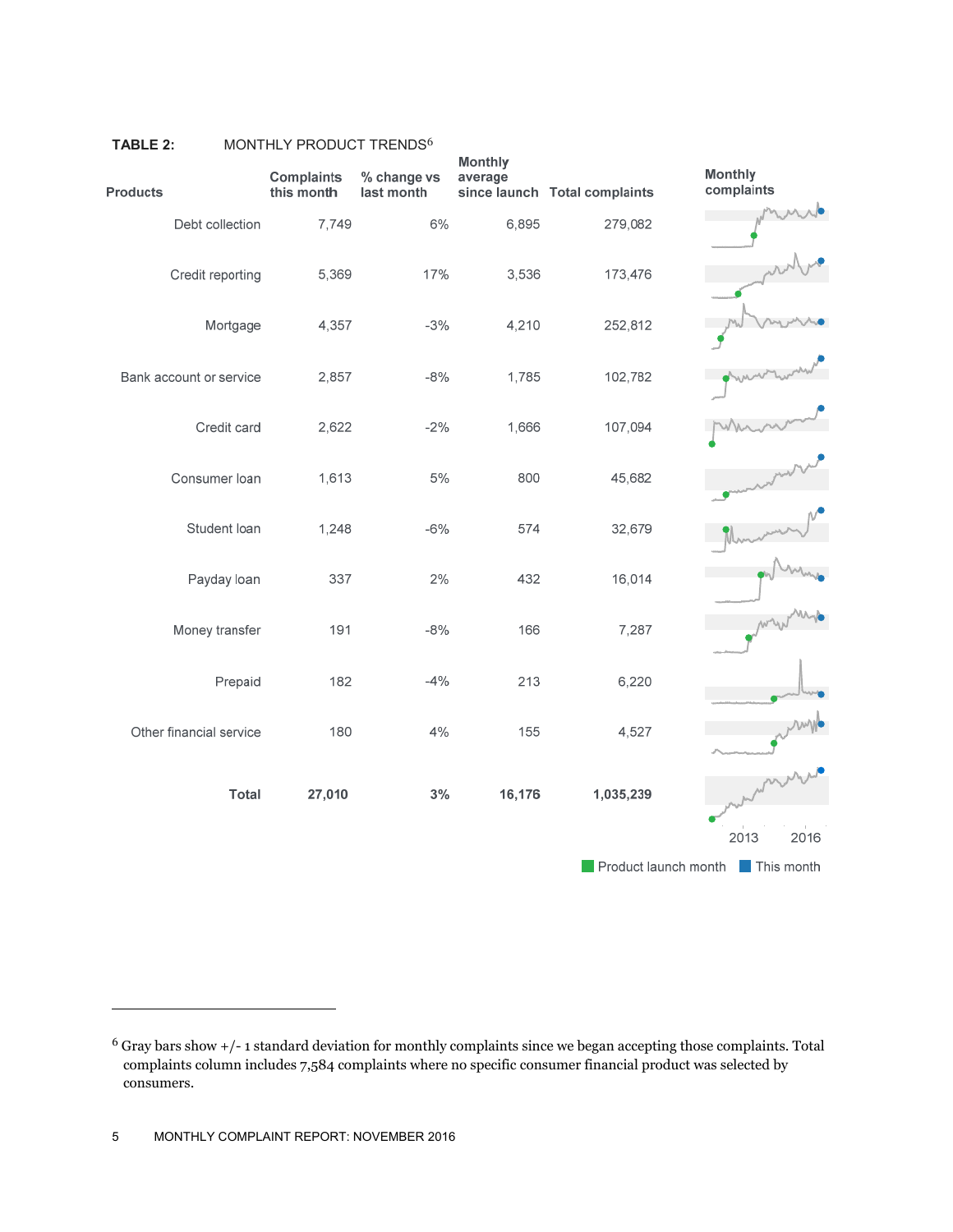| <b>Products</b>         | <b>Complaints</b><br>this month | % change vs<br>last month | <b>Monthly</b><br>average | since launch Total complaints | <b>Monthly</b><br>complaints    |
|-------------------------|---------------------------------|---------------------------|---------------------------|-------------------------------|---------------------------------|
| Debt collection         | 7,749                           | 6%                        | 6,895                     | 279,082                       |                                 |
| Credit reporting        | 5,369                           | 17%                       | 3,536                     | 173,476                       |                                 |
| Mortgage                | 4,357                           | $-3%$                     | 4,210                     | 252,812                       |                                 |
| Bank account or service | 2,857                           | $-8%$                     | 1,785                     | 102,782                       |                                 |
| Credit card             | 2,622                           | $-2%$                     | 1,666                     | 107,094                       |                                 |
| Consumer loan           | 1,613                           | 5%                        | 800                       | 45,682                        |                                 |
| Student loan            | 1,248                           | $-6%$                     | 574                       | 32,679                        |                                 |
| Payday loan             | 337                             | 2%                        | 432                       | 16,014                        |                                 |
| Money transfer          | 191                             | $-8%$                     | 166                       | 7,287                         |                                 |
| Prepaid                 | 182                             | $-4%$                     | 213                       | 6,220                         |                                 |
| Other financial service | 180                             | 4%                        | 155                       | 4,527                         |                                 |
| <b>Total</b>            | 27,010                          | 3%                        | 16,176                    | 1,035,239                     |                                 |
|                         |                                 |                           |                           |                               | 2013<br>2016                    |
|                         |                                 |                           |                           |                               | Product launch month This month |

#### TABLE 2: MONTHLY PRODUCT TRENDS<sup>6</sup>

<sup>6</sup> Gray bars show +/- 1 standard deviation for monthly complaints since we began accepting those complaints. Total complaints column includes 7,584 complaints where no specific consumer financial product was selected by consumers.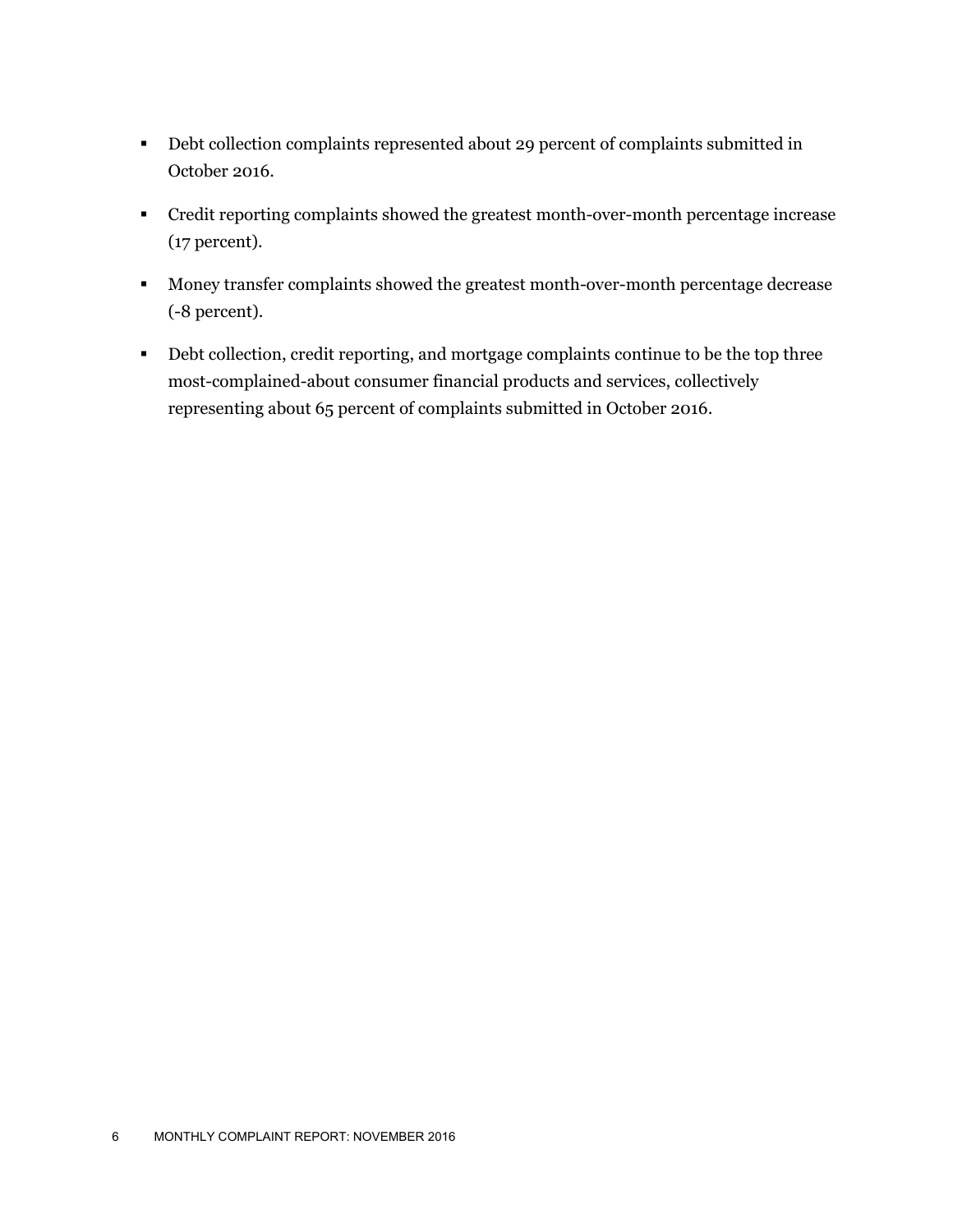- Debt collection complaints represented about 29 percent of complaints submitted in October 2016.
- Credit reporting complaints showed the greatest month-over-month percentage increase (17 percent).
- **Money transfer complaints showed the greatest month-over-month percentage decrease** (-8 percent).
- Debt collection, credit reporting, and mortgage complaints continue to be the top three most-complained-about consumer financial products and services, collectively representing about 65 percent of complaints submitted in October 2016.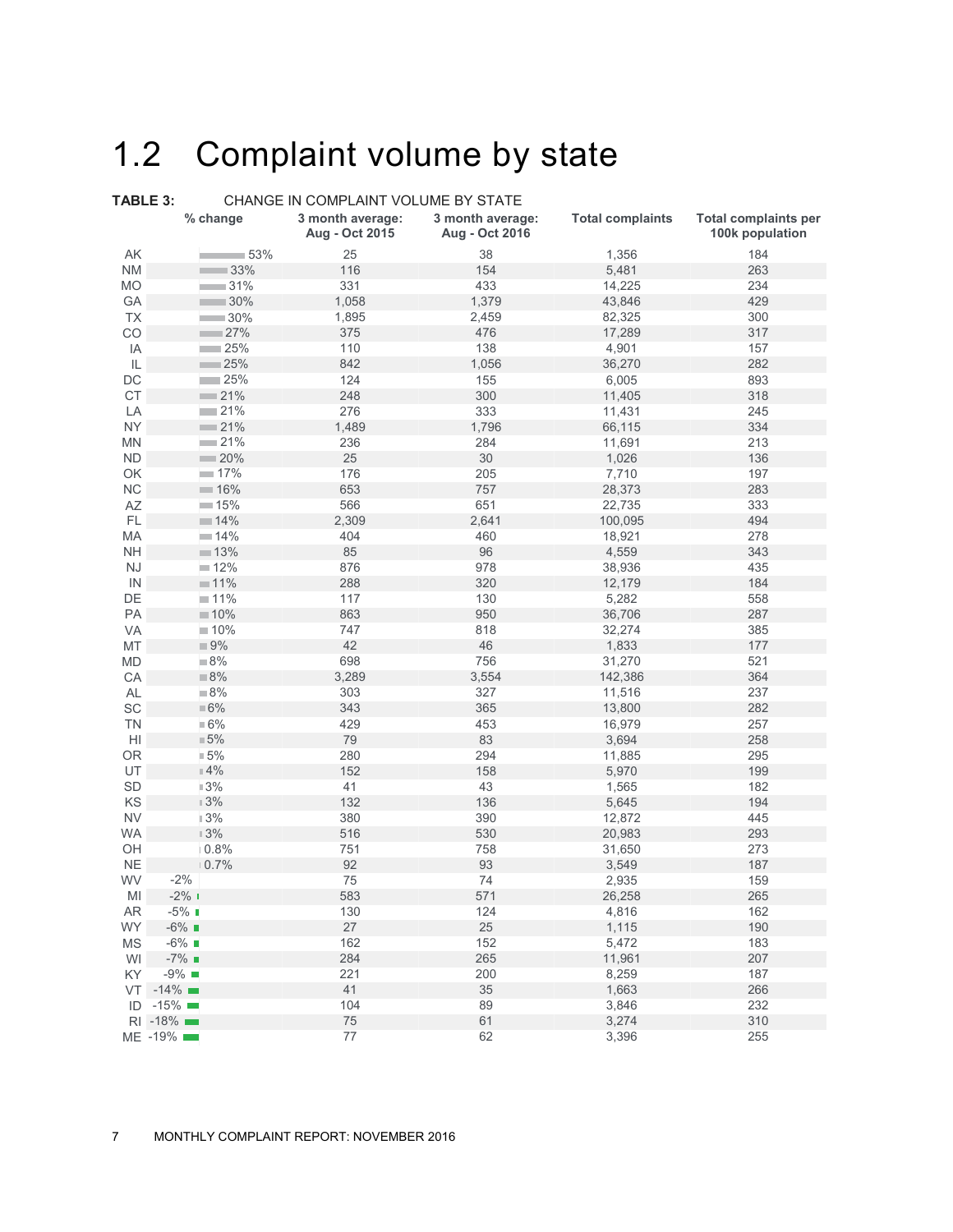### 1.2 Complaint volume by state

| TABLE 3:      |                       | CHANGE IN COMPLAINT VOLUME BY STATE |                                    |                         |                                                |  |  |  |  |  |  |  |
|---------------|-----------------------|-------------------------------------|------------------------------------|-------------------------|------------------------------------------------|--|--|--|--|--|--|--|
|               | % change              | 3 month average:<br>Aug - Oct 2015  | 3 month average:<br>Aug - Oct 2016 | <b>Total complaints</b> | <b>Total complaints per</b><br>100k population |  |  |  |  |  |  |  |
| AK            | 53%                   | 25                                  | 38                                 | 1,356                   | 184                                            |  |  |  |  |  |  |  |
| <b>NM</b>     | $-33%$                | 116                                 | 154                                | 5,481                   | 263                                            |  |  |  |  |  |  |  |
| MO            | 31%                   | 331                                 | 433                                | 14,225                  | 234                                            |  |  |  |  |  |  |  |
| GA            | $-30%$                | 1,058                               | 1,379                              | 43,846                  | 429                                            |  |  |  |  |  |  |  |
| <b>TX</b>     | $\sim$ 30%            | 1,895                               | 2,459                              | 82,325                  | 300                                            |  |  |  |  |  |  |  |
| CO            | 27%                   | 375                                 | 476                                | 17,289                  | 317                                            |  |  |  |  |  |  |  |
| IA            | 25%                   | 110                                 | 138                                | 4,901                   | 157                                            |  |  |  |  |  |  |  |
| IL            | $\sim$ 25%            | 842                                 | 1,056                              | 36,270                  | 282                                            |  |  |  |  |  |  |  |
| DC            | $-25%$                | 124                                 | 155                                | 6,005                   | 893                                            |  |  |  |  |  |  |  |
| $\mathsf{CT}$ | $-21%$                | 248                                 | 300                                | 11,405                  | 318                                            |  |  |  |  |  |  |  |
| LA            | $-21%$                | 276                                 | 333                                | 11,431                  | 245                                            |  |  |  |  |  |  |  |
| <b>NY</b>     | $\sim$ 21%            | 1,489                               | 1,796                              | 66,115                  | 334                                            |  |  |  |  |  |  |  |
| <b>MN</b>     | $-21%$                | 236                                 | 284                                | 11,691                  | 213                                            |  |  |  |  |  |  |  |
| ${\sf ND}$    | $-20%$                | $25\,$                              | 30                                 | 1,026                   | 136                                            |  |  |  |  |  |  |  |
| OK            | $-17%$                | 176                                 | 205                                | 7,710                   | 197                                            |  |  |  |  |  |  |  |
| NC            | $-16%$                | 653                                 | 757                                | 28,373                  | 283                                            |  |  |  |  |  |  |  |
| AZ            | $-15%$                | 566                                 | 651                                | 22,735                  | 333                                            |  |  |  |  |  |  |  |
| FL            | 14%                   | 2,309                               | 2,641                              | 100,095                 | 494                                            |  |  |  |  |  |  |  |
| MA            | $-14%$                | 404                                 | 460                                | 18,921                  | 278                                            |  |  |  |  |  |  |  |
| <b>NH</b>     | 13%                   | 85                                  | 96                                 | 4,559                   | 343                                            |  |  |  |  |  |  |  |
| NJ            | 12%                   | 876                                 | 978                                | 38,936                  | 435                                            |  |  |  |  |  |  |  |
| IN            | $11\%$                | 288                                 | 320                                | 12,179                  | 184                                            |  |  |  |  |  |  |  |
| DE            | $11\%$                | 117                                 | 130                                | 5,282                   | 558                                            |  |  |  |  |  |  |  |
| PA            | 10%                   | 863                                 | 950                                | 36,706                  | 287                                            |  |  |  |  |  |  |  |
| VA            | 10%                   | 747                                 | 818                                | 32,274                  | 385                                            |  |  |  |  |  |  |  |
| MT            | $\blacksquare$ 9%     | 42                                  | 46                                 | 1,833                   | 177                                            |  |  |  |  |  |  |  |
| MD            | 8%                    | 698                                 | 756                                | 31,270                  | 521                                            |  |  |  |  |  |  |  |
| CA            | 8%                    | 3,289                               | 3,554                              | 142,386                 | 364                                            |  |  |  |  |  |  |  |
| <b>AL</b>     | 8%                    | 303                                 | 327                                | 11,516                  | 237                                            |  |  |  |  |  |  |  |
| SC            | $\blacksquare 6\%$    | 343                                 | 365                                | 13,800                  | 282                                            |  |  |  |  |  |  |  |
| <b>TN</b>     | $\blacksquare 6\%$    | 429                                 | 453                                | 16,979                  | 257                                            |  |  |  |  |  |  |  |
| H             | $\blacksquare 5\%$    | 79                                  | 83                                 | 3,694                   | 258                                            |  |  |  |  |  |  |  |
| <b>OR</b>     | 15%                   | 280                                 | 294                                | 11,885                  | 295                                            |  |  |  |  |  |  |  |
| UT            | $\mathbb{I}$ 4%       | 152                                 | 158                                | 5,970                   | 199                                            |  |  |  |  |  |  |  |
| SD            | 13%                   | 41                                  | 43                                 | 1,565                   | 182                                            |  |  |  |  |  |  |  |
| KS            | $13\%$                | 132                                 | 136                                | 5,645                   | 194                                            |  |  |  |  |  |  |  |
| <b>NV</b>     | $13%$                 | 380                                 | 390                                | 12,872                  | 445                                            |  |  |  |  |  |  |  |
| <b>WA</b>     | $13%$                 | 516                                 | 530                                | 20,983                  | 293                                            |  |  |  |  |  |  |  |
| OH            | 0.8%                  | 751                                 | 758                                | 31,650                  | 273                                            |  |  |  |  |  |  |  |
| <b>NE</b>     | 0.7%                  | 92                                  | 93                                 | 3,549                   | 187                                            |  |  |  |  |  |  |  |
| WV            | $-2\%$                | 75                                  | 74                                 | 2,935                   | 159                                            |  |  |  |  |  |  |  |
| MI            | $-2\%$ 1              | 583                                 | 571                                | 26,258                  | 265                                            |  |  |  |  |  |  |  |
| AR            | $-5\%$ 1              | 130                                 | 124                                | 4,816                   | 162                                            |  |  |  |  |  |  |  |
| <b>WY</b>     | $-6\%$ $\blacksquare$ | 27                                  | 25                                 | 1,115                   | 190                                            |  |  |  |  |  |  |  |
| <b>MS</b>     | $-6\%$                | 162                                 | 152                                | 5,472                   | 183                                            |  |  |  |  |  |  |  |
| WI            | $-7\%$                | 284                                 | 265                                | 11,961                  | 207                                            |  |  |  |  |  |  |  |
| KY            | $-9\%$                | 221                                 | 200                                | 8,259                   | 187                                            |  |  |  |  |  |  |  |
|               | $VT -14\%$            | 41                                  | 35                                 | 1,663                   | 266                                            |  |  |  |  |  |  |  |
|               | $ID -15\%$            | 104                                 | 89                                 | 3,846                   | 232                                            |  |  |  |  |  |  |  |
|               | RI -18%               | 75                                  | 61                                 | 3,274                   | 310                                            |  |  |  |  |  |  |  |
|               | ME -19%               | 77                                  | 62                                 | 3,396                   | 255                                            |  |  |  |  |  |  |  |
|               |                       |                                     |                                    |                         |                                                |  |  |  |  |  |  |  |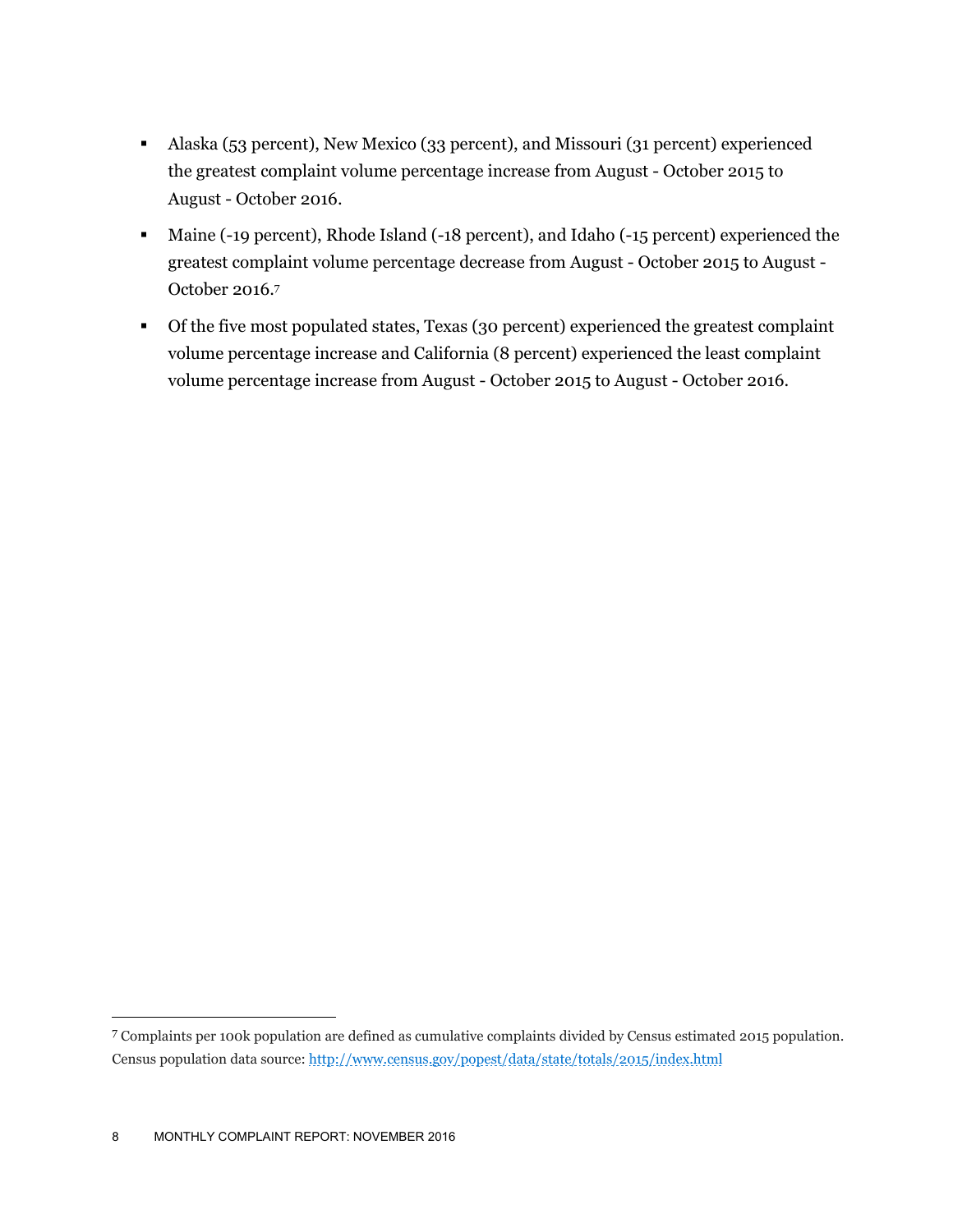- Alaska (53 percent), New Mexico (33 percent), and Missouri (31 percent) experienced the greatest complaint volume percentage increase from August - October 2015 to August - October 2016.
- Maine (-19 percent), Rhode Island (-18 percent), and Idaho (-15 percent) experienced the greatest complaint volume percentage decrease from August - October 2015 to August - October 2016.7
- Of the five most populated states, Texas (30 percent) experienced the greatest complaint volume percentage increase and California (8 percent) experienced the least complaint volume percentage increase from August - October 2015 to August - October 2016.

<u>.</u>

<sup>7</sup> Complaints per 100k population are defined as cumulative complaints divided by Census estimated 2015 population. Census population data source: http://www.census.gov/popest/data/state/totals/2015/index.html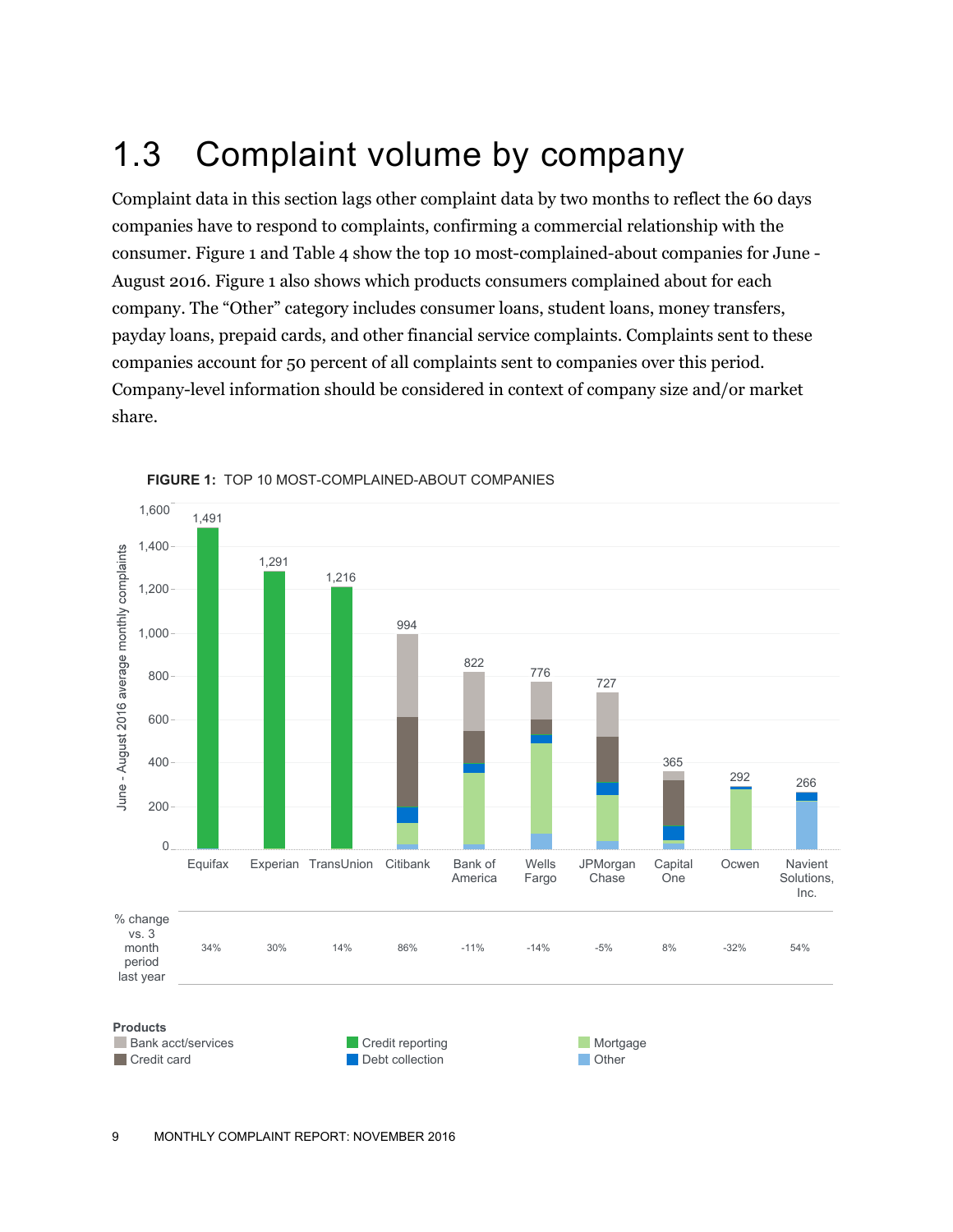### 1.3 Complaint volume by company

Complaint data in this section lags other complaint data by two months to reflect the 60 days companies have to respond to complaints, confirming a commercial relationship with the consumer. Figure 1 and Table 4 show the top 10 most-complained-about companies for June - August 2016. Figure 1 also shows which products consumers complained about for each company. The "Other" category includes consumer loans, student loans, money transfers, payday loans, prepaid cards, and other financial service complaints. Complaints sent to these companies account for 50 percent of all complaints sent to companies over this period. Company-level information should be considered in context of company size and/or market share.



**FIGURE 1:** TOP 10 MOST-COMPLAINED-ABOUT COMPANIES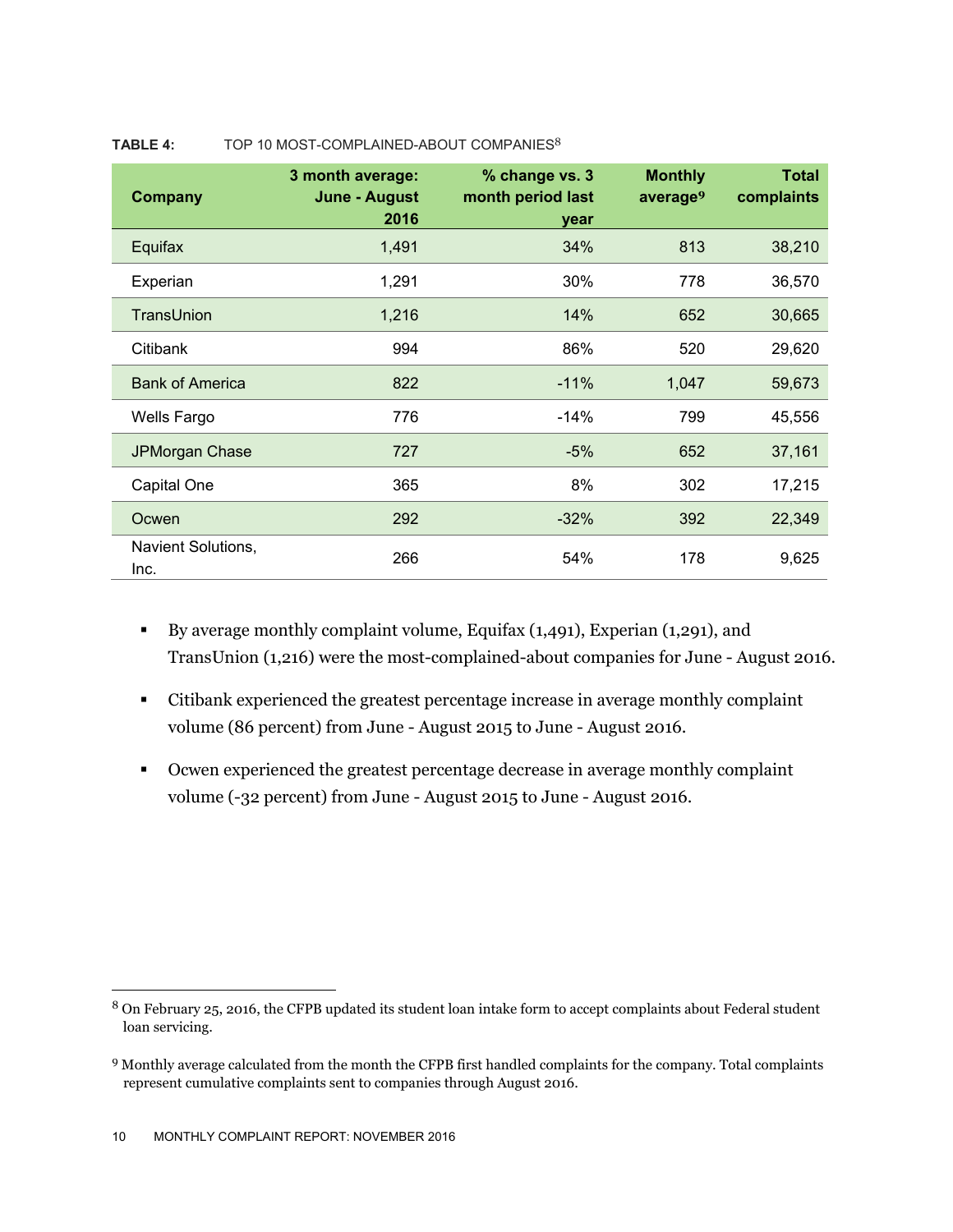| <b>Company</b>             | 3 month average:<br><b>June - August</b><br>2016 | % change vs. 3<br>month period last<br>year | <b>Monthly</b><br>average <sup>9</sup> | <b>Total</b><br>complaints |
|----------------------------|--------------------------------------------------|---------------------------------------------|----------------------------------------|----------------------------|
| Equifax                    | 1,491                                            | 34%                                         | 813                                    | 38,210                     |
| Experian                   | 1,291                                            | 30%                                         | 778                                    | 36,570                     |
| TransUnion                 | 1,216                                            | 14%                                         | 652                                    | 30,665                     |
| Citibank                   | 994                                              | 86%                                         | 520                                    | 29,620                     |
| <b>Bank of America</b>     | 822                                              | $-11%$                                      | 1,047                                  | 59,673                     |
| Wells Fargo                | 776                                              | $-14%$                                      | 799                                    | 45,556                     |
| JPMorgan Chase             | 727                                              | $-5%$                                       | 652                                    | 37,161                     |
| Capital One                | 365                                              | 8%                                          | 302                                    | 17,215                     |
| Ocwen                      | 292                                              | $-32%$                                      | 392                                    | 22,349                     |
| Navient Solutions,<br>Inc. | 266                                              | 54%                                         | 178                                    | 9,625                      |

#### TABLE 4: TOP 10 MOST-COMPLAINED-ABOUT COMPANIES<sup>8</sup>

- By average monthly complaint volume, Equifax (1,491), Experian (1,291), and TransUnion (1,216) were the most-complained-about companies for June - August 2016.
- Citibank experienced the greatest percentage increase in average monthly complaint volume (86 percent) from June - August 2015 to June - August 2016.
- Ocwen experienced the greatest percentage decrease in average monthly complaint volume (-32 percent) from June - August 2015 to June - August 2016.

-

<sup>8</sup> On February 25, 2016, the CFPB updated its student loan intake form to accept complaints about Federal student loan servicing.

<sup>9</sup> Monthly average calculated from the month the CFPB first handled complaints for the company. Total complaints represent cumulative complaints sent to companies through August 2016.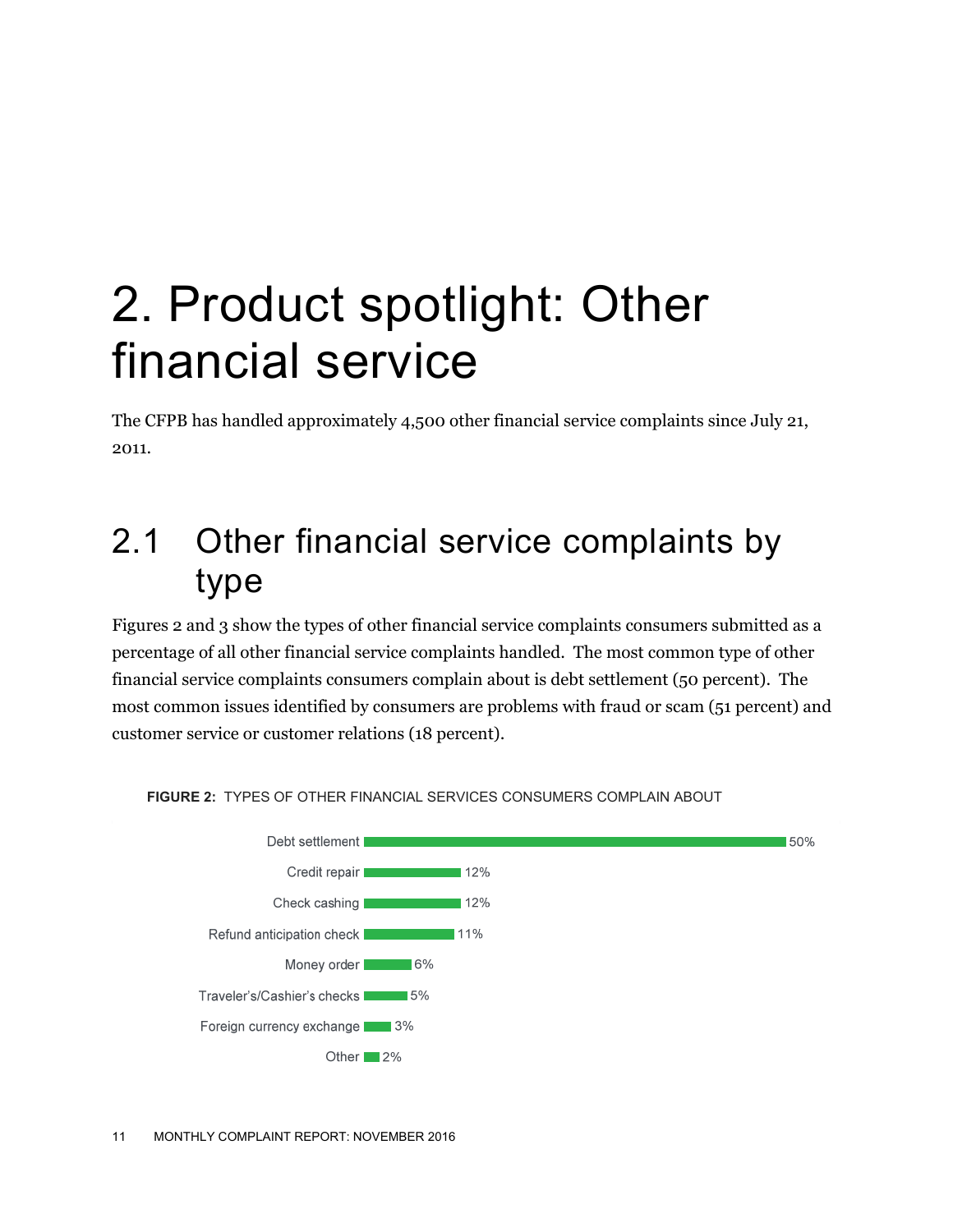## 2. Product spotlight: Other financial service

The CFPB has handled approximately 4,500 other financial service complaints since July 21, 2011.

#### 2.1 Other financial service complaints by type

Figures 2 and 3 show the types of other financial service complaints consumers submitted as a percentage of all other financial service complaints handled. The most common type of other financial service complaints consumers complain about is debt settlement (50 percent). The most common issues identified by consumers are problems with fraud or scam (51 percent) and customer service or customer relations (18 percent).



**FIGURE 2:** TYPES OF OTHER FINANCIAL SERVICES CONSUMERS COMPLAIN ABOUT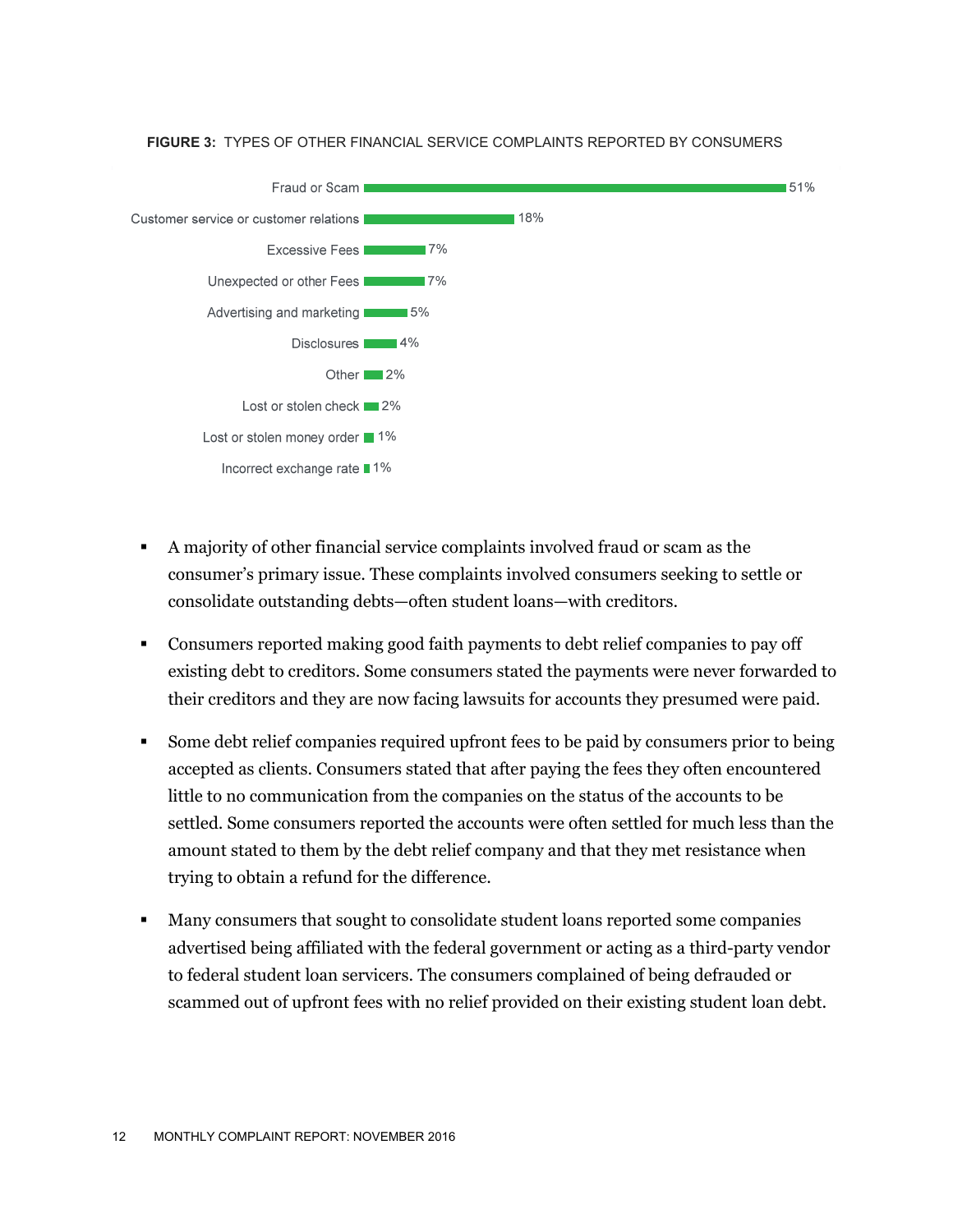#### **FIGURE 3:** TYPES OF OTHER FINANCIAL SERVICE COMPLAINTS REPORTED BY CONSUMERS



- A majority of other financial service complaints involved fraud or scam as the consumer's primary issue. These complaints involved consumers seeking to settle or consolidate outstanding debts—often student loans—with creditors.
- Consumers reported making good faith payments to debt relief companies to pay off existing debt to creditors. Some consumers stated the payments were never forwarded to their creditors and they are now facing lawsuits for accounts they presumed were paid.
- Some debt relief companies required upfront fees to be paid by consumers prior to being accepted as clients. Consumers stated that after paying the fees they often encountered little to no communication from the companies on the status of the accounts to be settled. Some consumers reported the accounts were often settled for much less than the amount stated to them by the debt relief company and that they met resistance when trying to obtain a refund for the difference.
- Many consumers that sought to consolidate student loans reported some companies advertised being affiliated with the federal government or acting as a third-party vendor to federal student loan servicers. The consumers complained of being defrauded or scammed out of upfront fees with no relief provided on their existing student loan debt.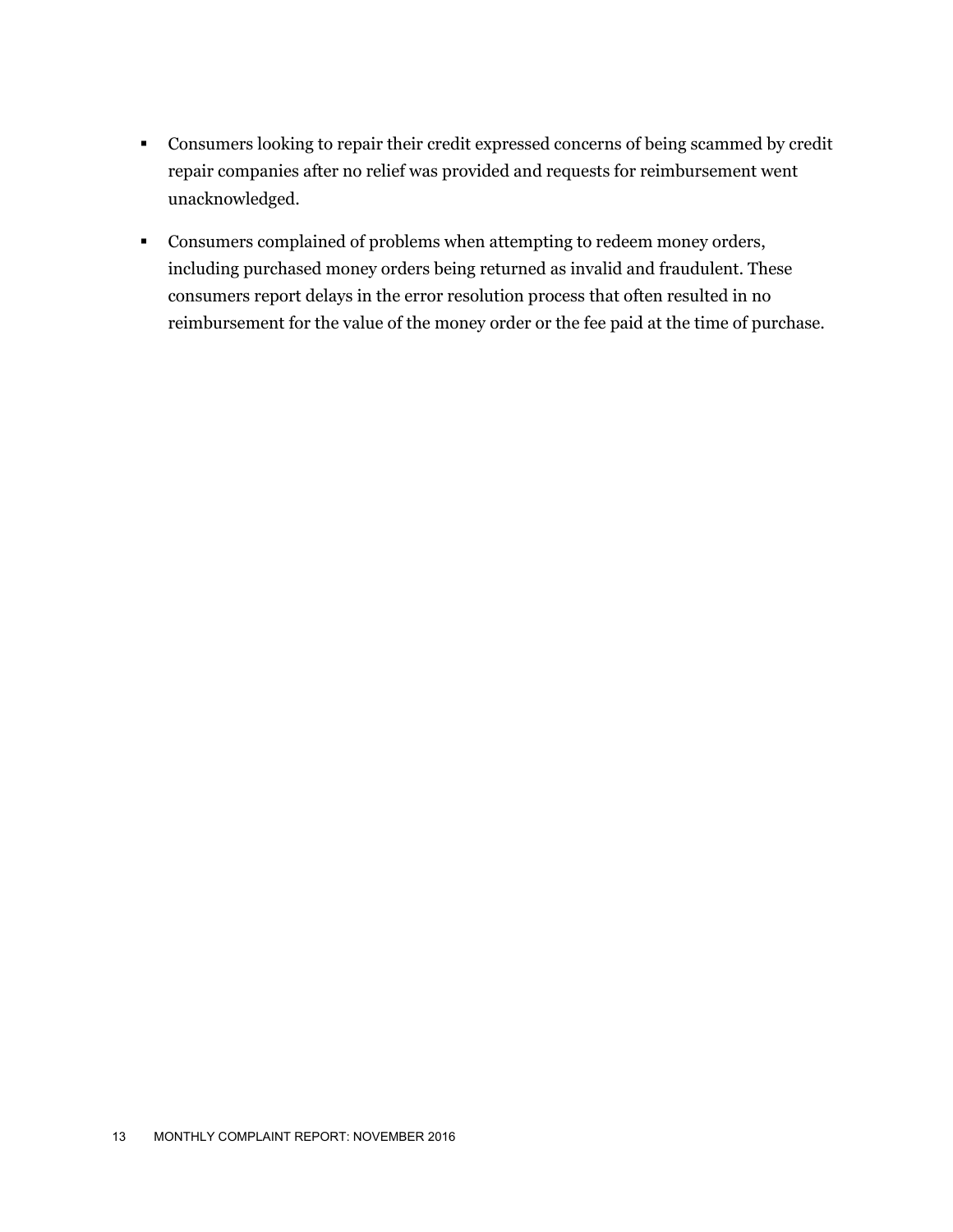- Consumers looking to repair their credit expressed concerns of being scammed by credit repair companies after no relief was provided and requests for reimbursement went unacknowledged.
- Consumers complained of problems when attempting to redeem money orders, including purchased money orders being returned as invalid and fraudulent. These consumers report delays in the error resolution process that often resulted in no reimbursement for the value of the money order or the fee paid at the time of purchase.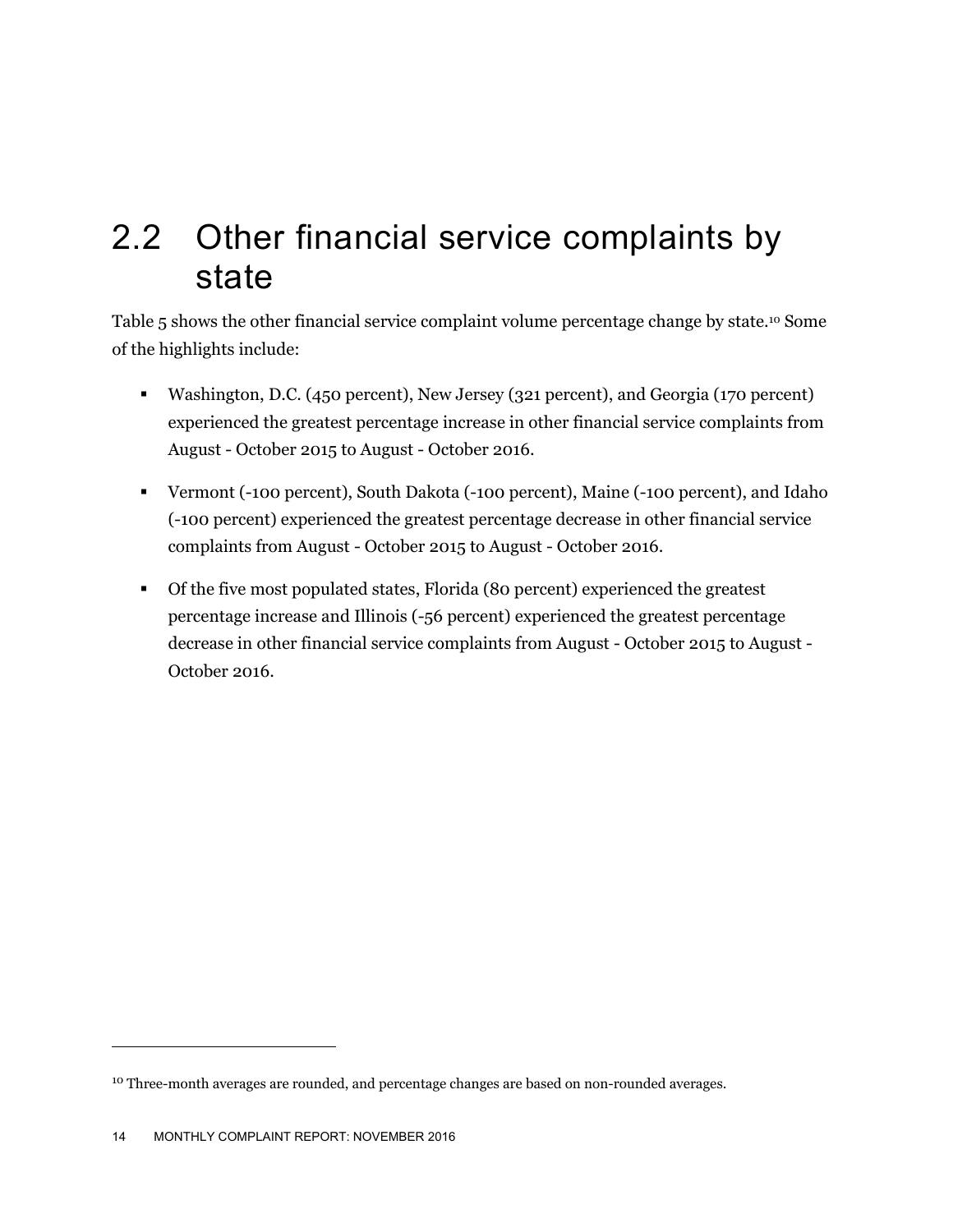#### 2.2 Other financial service complaints by state

Table 5 shows the other financial service complaint volume percentage change by state.<sup>10</sup> Some of the highlights include:

- Washington, D.C. (450 percent), New Jersey (321 percent), and Georgia (170 percent) experienced the greatest percentage increase in other financial service complaints from August - October 2015 to August - October 2016.
- Vermont (-100 percent), South Dakota (-100 percent), Maine (-100 percent), and Idaho (-100 percent) experienced the greatest percentage decrease in other financial service complaints from August - October 2015 to August - October 2016.
- Of the five most populated states, Florida (80 percent) experienced the greatest percentage increase and Illinois (-56 percent) experienced the greatest percentage decrease in other financial service complaints from August - October 2015 to August - October 2016.

-

<sup>&</sup>lt;sup>10</sup> Three-month averages are rounded, and percentage changes are based on non-rounded averages.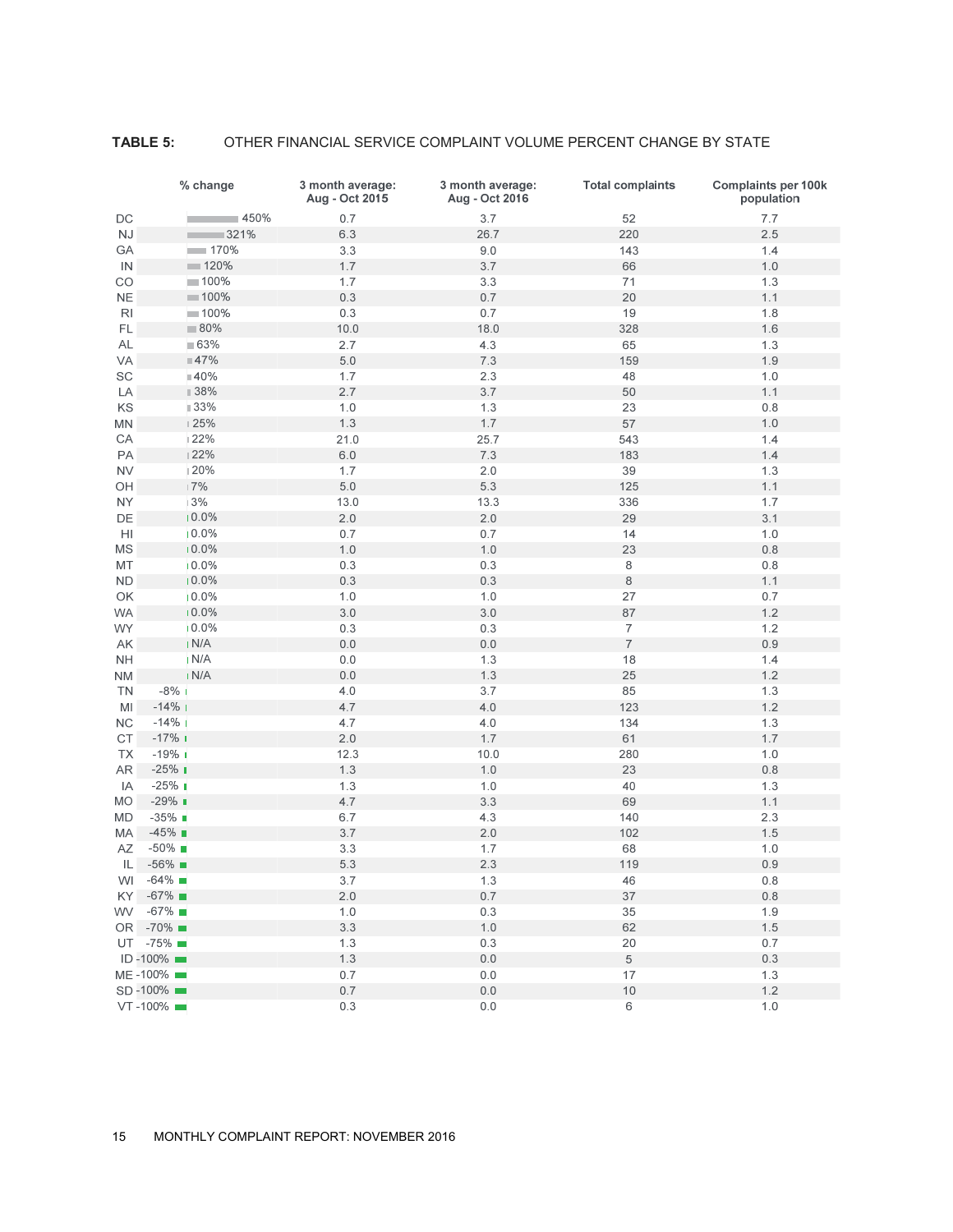#### **TABLE 5:** OTHER FINANCIAL SERVICE COMPLAINT VOLUME PERCENT CHANGE BY STATE

|                      | % change              | 3 month average:<br>Aug - Oct 2015 | 3 month average:<br>Aug - Oct 2016 | <b>Total complaints</b> | <b>Complaints per 100k</b><br>population |
|----------------------|-----------------------|------------------------------------|------------------------------------|-------------------------|------------------------------------------|
| DC                   | $-450%$               | 0.7                                | 3.7                                | 52                      | 7.7                                      |
| NJ                   | 321%<br><b>Tara</b>   | 6.3                                | 26.7                               | 220                     | 2.5                                      |
| GA                   | 170%                  | 3.3                                | $9.0\,$                            | 143                     | 1.4                                      |
| IN                   | 120%                  | 1.7                                | 3.7                                | 66                      | 1.0                                      |
| CO                   | $100\%$               | 1.7                                | 3.3                                | 71                      | 1.3                                      |
| <b>NE</b>            | $\blacksquare$ 100%   | 0.3                                | 0.7                                | 20                      | 1.1                                      |
| R <sub>l</sub>       | $= 100\%$             | 0.3                                | 0.7                                | 19                      | 1.8                                      |
| FL                   | $\blacksquare$ 80%    | 10.0                               | 18.0                               | 328                     | 1.6                                      |
| <b>AL</b>            | ■ 63%                 | 2.7                                | 4.3                                | 65                      | 1.3                                      |
| VA                   | ■47%                  | $5.0$                              | 7.3                                | 159                     | 1.9                                      |
| SC                   | ■40%                  | 1.7                                | 2.3                                | 48                      | 1.0                                      |
| LA                   | ■ 38%                 | 2.7                                | 3.7                                | 50                      | 1.1                                      |
| KS                   | ■ 33%                 | 1.0                                | 1.3                                | 23                      | 0.8                                      |
| MN                   | $\mid$ 25%            | $1.3$                              | 1.7                                | 57                      | 1.0                                      |
| CA                   | 122%                  | 21.0                               | 25.7                               | 543                     | 1.4                                      |
| PA                   | 122%                  | $6.0\,$                            | 7.3                                | 183                     | 1.4                                      |
| <b>NV</b>            | 20%                   | 1.7                                | 2.0                                | 39                      | 1.3                                      |
| OH                   | 17%                   | $5.0$                              | 5.3                                | 125                     | 1.1                                      |
| <b>NY</b>            | 3%                    | 13.0                               | 13.3                               | 336                     | 1.7                                      |
| DE                   | 10.0%                 | 2.0                                | 2.0                                | 29                      | 3.1                                      |
| HI                   | 10.0%                 | 0.7                                | 0.7                                | 14                      | 1.0                                      |
| MS                   | 10.0%                 | $1.0$                              | 1.0                                | 23                      | 0.8                                      |
| MT                   | 10.0%                 | 0.3                                | 0.3                                | 8                       | 0.8                                      |
| <b>ND</b>            | 10.0%                 | 0.3                                | $0.3\,$                            | $\,8\,$                 | 1.1                                      |
| OK                   | 10.0%                 | 1.0                                | 1.0                                | 27                      | 0.7                                      |
| <b>WA</b>            | 10.0%                 | 3.0                                | 3.0                                | 87                      | 1.2                                      |
| <b>WY</b>            | 10.0%                 | 0.3                                | 0.3                                | $\overline{7}$          | 1.2                                      |
| AK                   | N/A                   | $0.0$                              | $0.0\,$                            | $\overline{7}$          | 0.9                                      |
| <b>NH</b>            | IN/A                  | $0.0$                              | 1.3                                | 18                      | 1.4                                      |
| ΝM                   | IN/A                  | $0.0$                              | 1.3                                | 25                      | 1.2                                      |
| ΤN                   | $-8\%$ 1              | 4.0                                | 3.7                                | 85                      | 1.3                                      |
| MI                   | $-14%$ 1              | 4.7                                | 4.0                                | 123                     | 1.2                                      |
|                      | $-14%$ I              | 4.7                                | 4.0                                | 134                     | 1.3                                      |
| NС<br>C <sub>T</sub> | $-17\%$               | 2.0                                | 1.7                                | 61                      | 1.7                                      |
| <b>TX</b>            | $-19%$ 1              | 12.3                               | 10.0                               | 280                     | $1.0$                                    |
| <b>AR</b>            | $-25\%$               | 1.3                                | 1.0                                | 23                      |                                          |
|                      | $-25%$ $\blacksquare$ |                                    | 1.0                                | 40                      | $0.8\,$<br>1.3                           |
| IA                   | $-29\%$               | 1.3<br>4.7                         | 3.3                                | 69                      | 1.1                                      |
| <b>MO</b>            | $-35\%$               |                                    |                                    |                         |                                          |
| <b>MD</b>            |                       | 6.7                                | 4.3                                | 140                     | 2.3                                      |
| МA                   | $-45\%$<br>$-50\%$    | 3.7                                | $2.0$                              | 102                     | $1.5$                                    |
| <b>AZ</b>            |                       | 3.3                                | 1.7                                | 68                      | $1.0$                                    |
| IL                   | $-56\%$               | 5.3                                | 2.3                                | 119                     | 0.9                                      |
| WI                   | $-64\%$               | 3.7                                | 1.3                                | 46                      | 0.8                                      |
| KY I                 | $-67\%$               | 2.0                                | 0.7                                | 37                      | 0.8                                      |
| WV                   | $-67\%$               | 1.0                                | 0.3                                | 35                      | 1.9                                      |
|                      | OR -70% ■             | 3.3                                | $1.0$                              | 62                      | $1.5$                                    |
|                      | UT -75%               | 1.3                                | 0.3                                | 20                      | 0.7                                      |
|                      | ID-100%               | 1.3                                | $0.0$                              | $\,$ 5 $\,$             | 0.3                                      |
|                      | ME-100%               | 0.7                                | 0.0                                | 17                      | 1.3                                      |
|                      | SD-100%               | 0.7                                | 0.0                                | $10$                    | 1.2                                      |
|                      | VT-100%               | 0.3                                | $0.0\,$                            | 6                       | $1.0$                                    |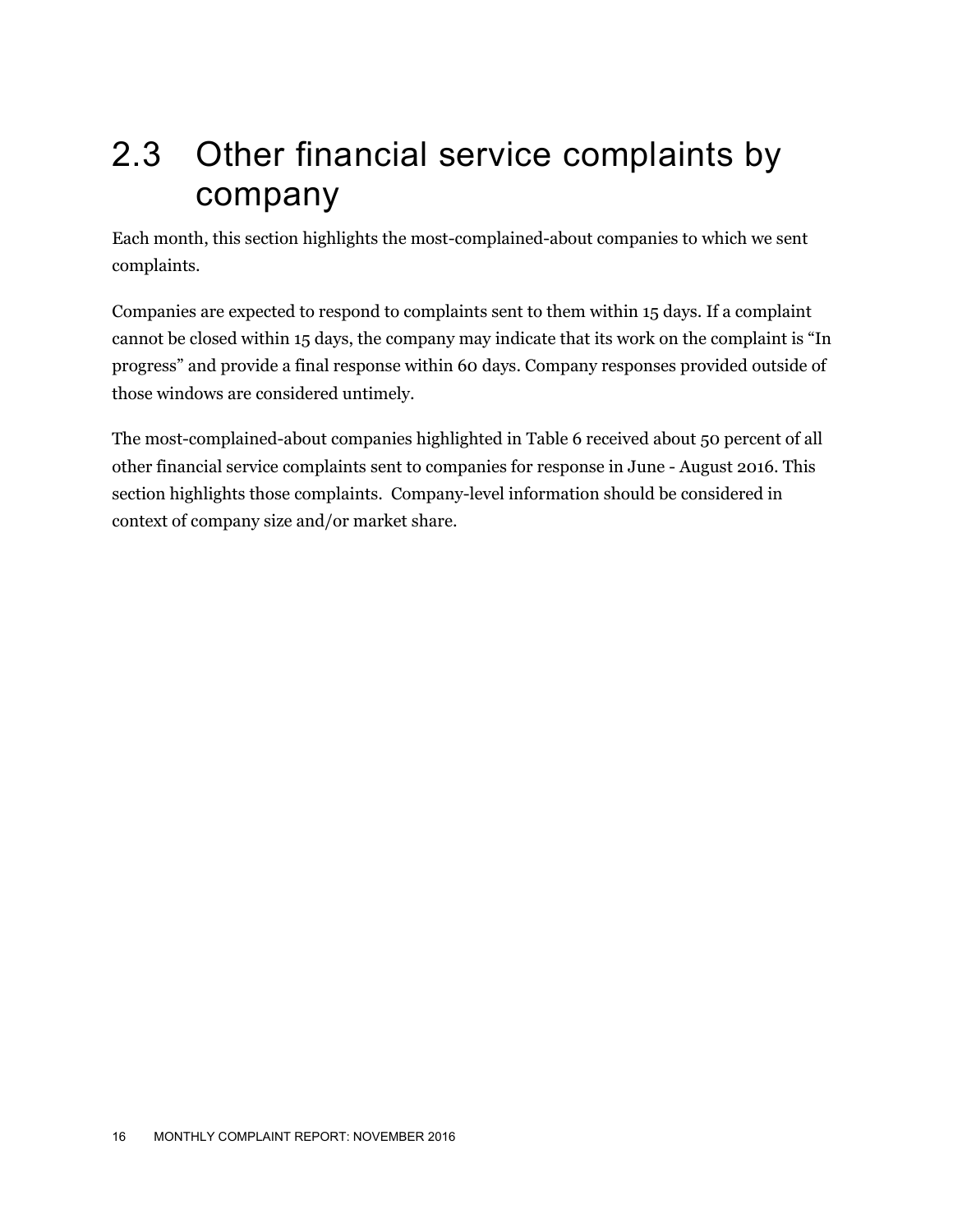### 2.3 Other financial service complaints by company

Each month, this section highlights the most-complained-about companies to which we sent complaints.

Companies are expected to respond to complaints sent to them within 15 days. If a complaint cannot be closed within 15 days, the company may indicate that its work on the complaint is "In progress" and provide a final response within 60 days. Company responses provided outside of those windows are considered untimely.

The most-complained-about companies highlighted in Table 6 received about 50 percent of all other financial service complaints sent to companies for response in June - August 2016. This section highlights those complaints. Company-level information should be considered in context of company size and/or market share.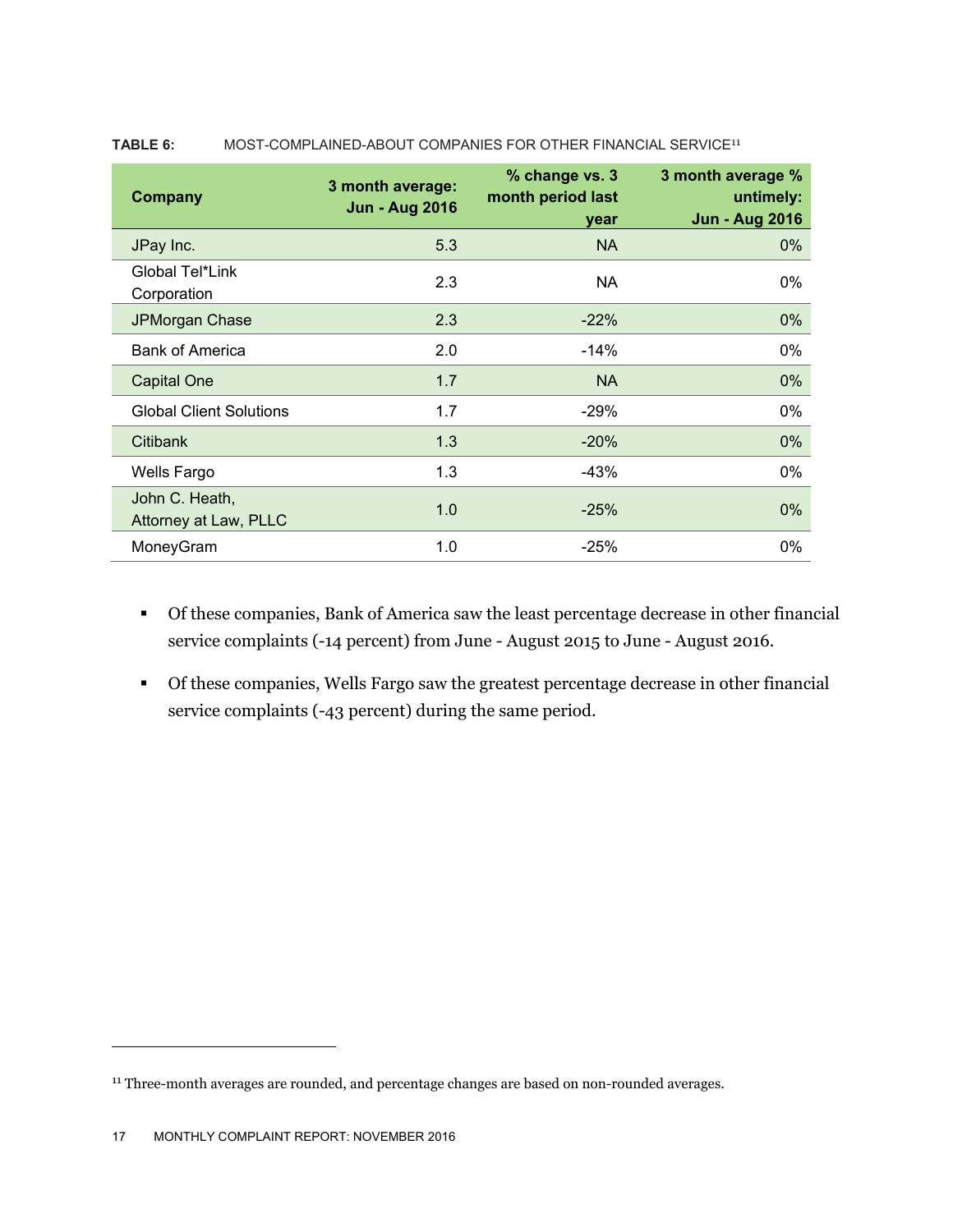| <b>Company</b>                          | 3 month average:<br><b>Jun - Aug 2016</b> | % change vs. 3<br>month period last<br>year | 3 month average %<br>untimely:<br><b>Jun - Aug 2016</b> |
|-----------------------------------------|-------------------------------------------|---------------------------------------------|---------------------------------------------------------|
| JPay Inc.                               | 5.3                                       | <b>NA</b>                                   | $0\%$                                                   |
| Global Tel*Link<br>Corporation          | 2.3                                       | NA.                                         | $0\%$                                                   |
| JPMorgan Chase                          | 2.3                                       | $-22%$                                      | 0%                                                      |
| <b>Bank of America</b>                  | 2.0                                       | $-14\%$                                     | $0\%$                                                   |
| <b>Capital One</b>                      | 1.7                                       | <b>NA</b>                                   | $0\%$                                                   |
| <b>Global Client Solutions</b>          | 1.7                                       | $-29%$                                      | $0\%$                                                   |
| <b>Citibank</b>                         | 1.3                                       | $-20%$                                      | $0\%$                                                   |
| <b>Wells Fargo</b>                      | 1.3                                       | $-43%$                                      | $0\%$                                                   |
| John C. Heath,<br>Attorney at Law, PLLC | 1.0                                       | $-25%$                                      | $0\%$                                                   |
| MoneyGram                               | 1.0                                       | $-25%$                                      | $0\%$                                                   |

#### **TABLE 6:** MOST-COMPLAINED-ABOUT COMPANIES FOR OTHER FINANCIAL SERVICE<sup>11</sup>

- Of these companies, Bank of America saw the least percentage decrease in other financial service complaints (-14 percent) from June - August 2015 to June - August 2016.
- Of these companies, Wells Fargo saw the greatest percentage decrease in other financial service complaints (-43 percent) during the same period.

<sup>&</sup>lt;sup>11</sup> Three-month averages are rounded, and percentage changes are based on non-rounded averages.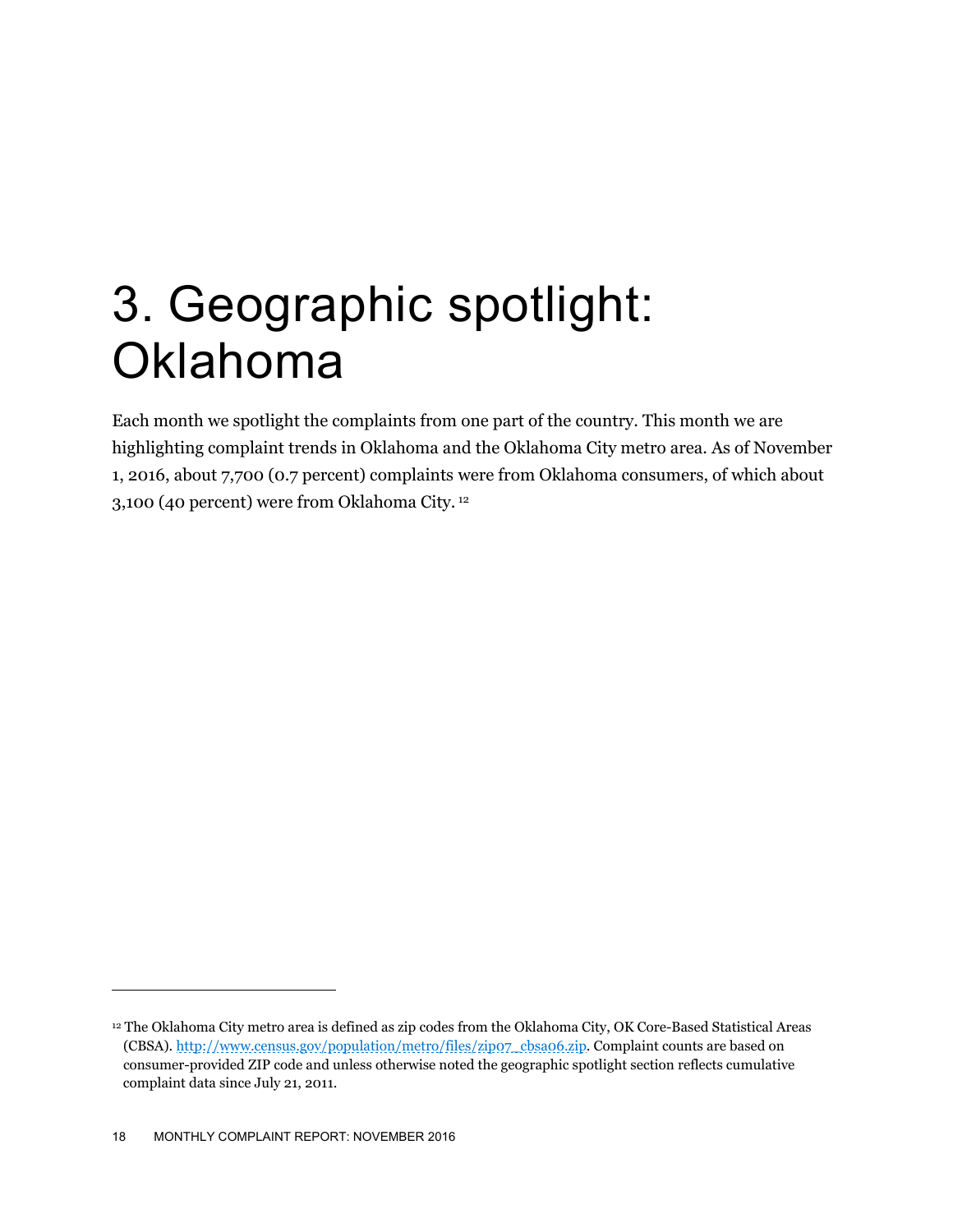## 3. Geographic spotlight: **Oklahoma**

Each month we spotlight the complaints from one part of the country. This month we are highlighting complaint trends in Oklahoma and the Oklahoma City metro area. As of November 1, 2016, about 7,700 (0.7 percent) complaints were from Oklahoma consumers, of which about 3,100 (40 percent) were from Oklahoma City. 12

<sup>12</sup> The Oklahoma City metro area is defined as zip codes from the Oklahoma City, OK Core-Based Statistical Areas (CBSA). http://www.census.gov/population/metro/files/zip07\_cbsa06.zip. Complaint counts are based on consumer-provided ZIP code and unless otherwise noted the geographic spotlight section reflects cumulative complaint data since July 21, 2011.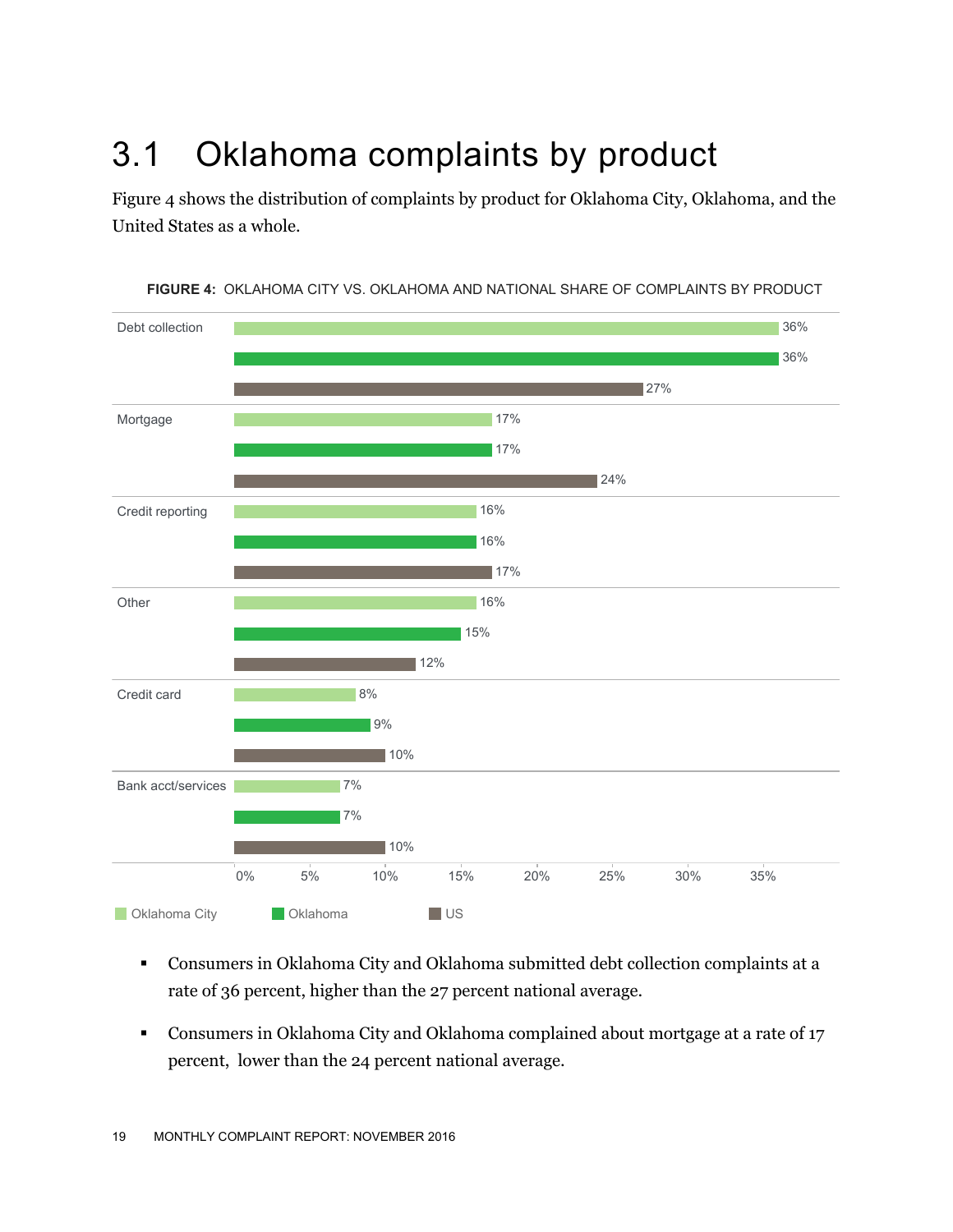## 3.1 Oklahoma complaints by product

Figure 4 shows the distribution of complaints by product for Oklahoma City, Oklahoma, and the United States as a whole.



**FIGURE 4:** OKLAHOMA CITY VS. OKLAHOMA AND NATIONAL SHARE OF COMPLAINTS BY PRODUCT

- Consumers in Oklahoma City and Oklahoma submitted debt collection complaints at a rate of 36 percent, higher than the 27 percent national average.
- Consumers in Oklahoma City and Oklahoma complained about mortgage at a rate of 17 percent, lower than the 24 percent national average.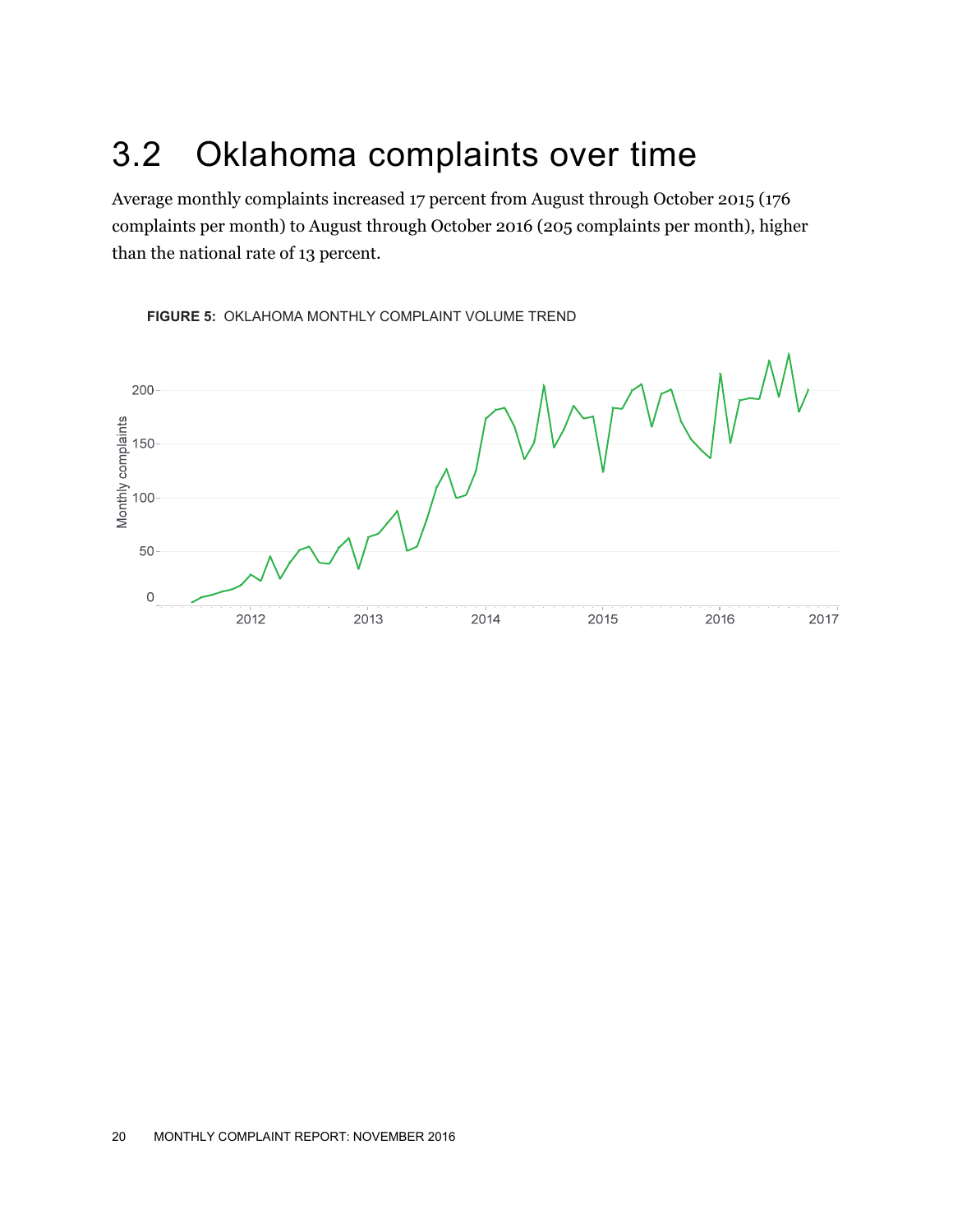### 3.2 Oklahoma complaints over time

Average monthly complaints increased 17 percent from August through October 2015 (176 complaints per month) to August through October 2016 (205 complaints per month), higher than the national rate of 13 percent.



**FIGURE 5:** OKLAHOMA MONTHLY COMPLAINT VOLUME TREND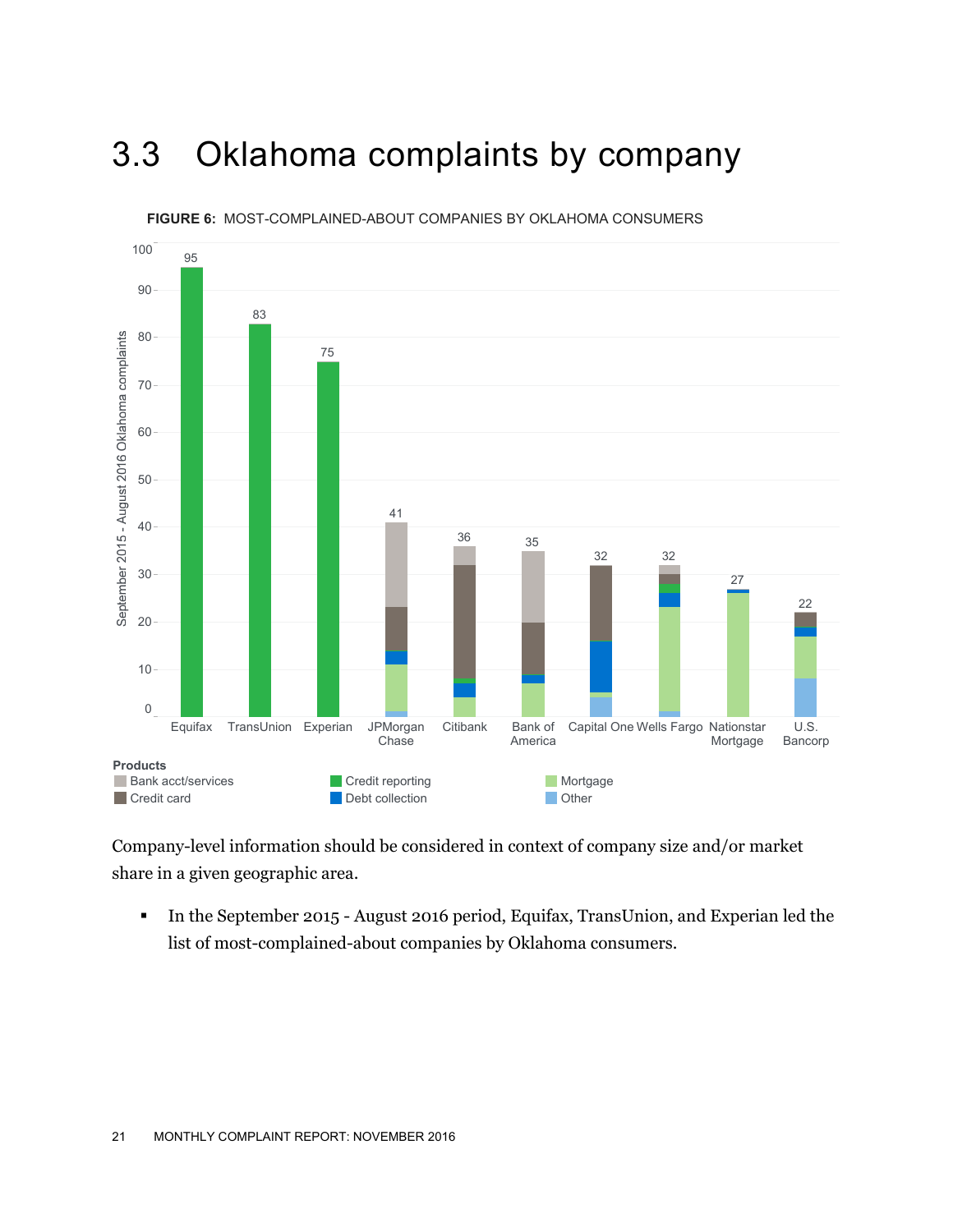### 3.3 Oklahoma complaints by company



**FIGURE 6:** MOST-COMPLAINED-ABOUT COMPANIES BY OKLAHOMA CONSUMERS

Company-level information should be considered in context of company size and/or market share in a given geographic area.

In the September 2015 - August 2016 period, Equifax, TransUnion, and Experian led the list of most-complained-about companies by Oklahoma consumers.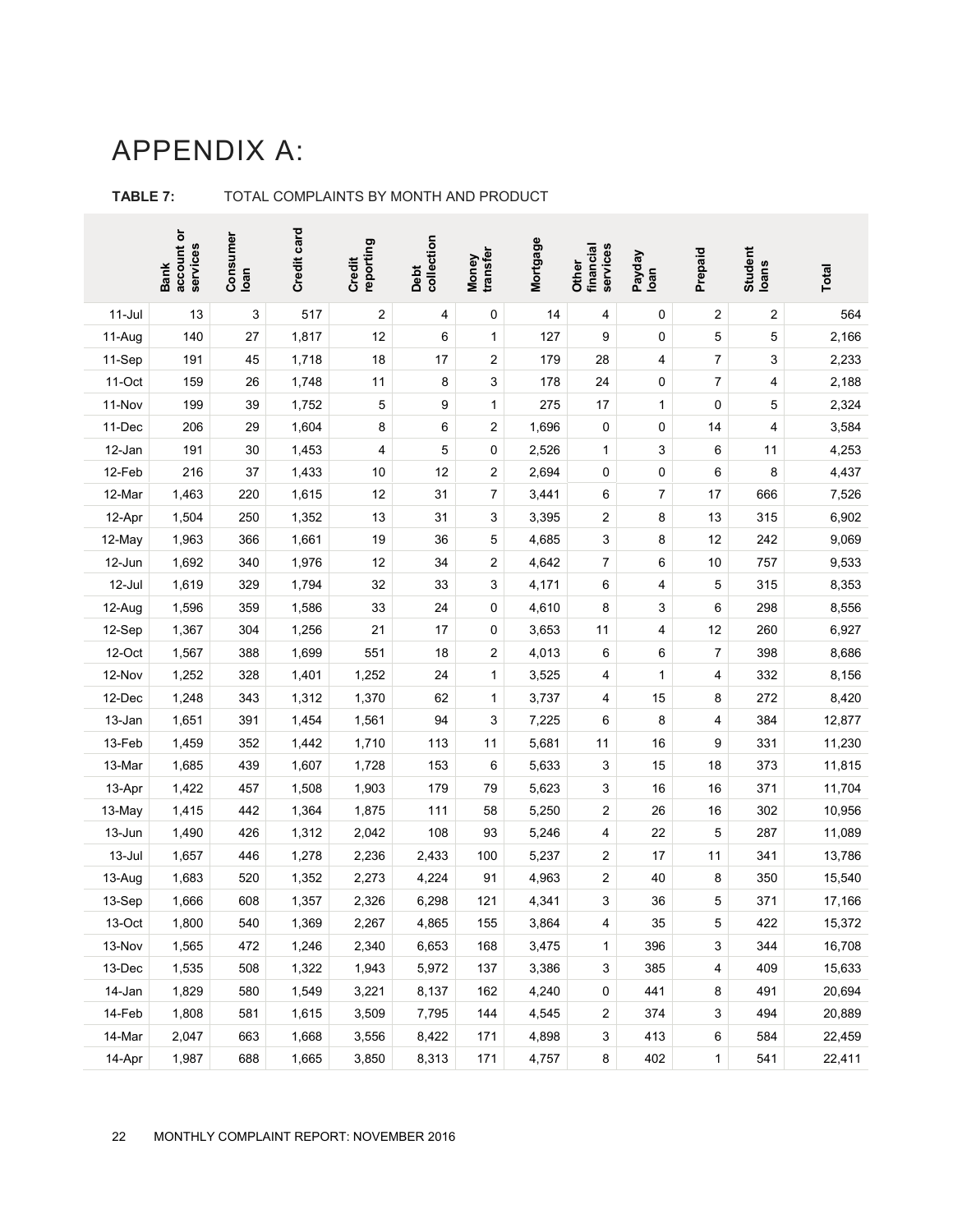#### APPENDIX A:

|           | account or<br>services<br><b>Bank</b> | Consumer<br>Ioan | Credit card | reporting<br>Credit | Debt<br>collection | transfer<br>Money       | Mortgage | financial<br>services<br>Other | Payday<br>Ioan | Prepaid      | Student<br>Ioans        | <b>Total</b> |
|-----------|---------------------------------------|------------------|-------------|---------------------|--------------------|-------------------------|----------|--------------------------------|----------------|--------------|-------------------------|--------------|
| $11$ -Jul | 13                                    | 3                | 517         | 2                   | 4                  | 0                       | 14       | 4                              | 0              | 2            | $\overline{\mathbf{c}}$ | 564          |
| 11-Aug    | 140                                   | 27               | 1,817       | 12                  | 6                  | $\mathbf{1}$            | 127      | 9                              | 0              | 5            | 5                       | 2,166        |
| 11-Sep    | 191                                   | 45               | 1,718       | 18                  | 17                 | $\overline{\mathbf{c}}$ | 179      | 28                             | 4              | 7            | 3                       | 2,233        |
| 11-Oct    | 159                                   | 26               | 1,748       | 11                  | 8                  | 3                       | 178      | 24                             | 0              | 7            | 4                       | 2,188        |
| 11-Nov    | 199                                   | 39               | 1,752       | 5                   | 9                  | $\mathbf{1}$            | 275      | 17                             | $\mathbf{1}$   | 0            | 5                       | 2,324        |
| 11-Dec    | 206                                   | 29               | 1,604       | 8                   | 6                  | $\overline{\mathbf{c}}$ | 1,696    | 0                              | 0              | 14           | 4                       | 3,584        |
| 12-Jan    | 191                                   | 30               | 1,453       | 4                   | 5                  | $\pmb{0}$               | 2,526    | 1                              | 3              | 6            | 11                      | 4,253        |
| 12-Feb    | 216                                   | 37               | 1,433       | 10                  | 12                 | $\overline{\mathbf{c}}$ | 2,694    | 0                              | 0              | 6            | 8                       | 4,437        |
| 12-Mar    | 1,463                                 | 220              | 1,615       | 12                  | 31                 | 7                       | 3,441    | 6                              | 7              | 17           | 666                     | 7,526        |
| 12-Apr    | 1,504                                 | 250              | 1,352       | 13                  | 31                 | 3                       | 3,395    | 2                              | 8              | 13           | 315                     | 6,902        |
| 12-May    | 1,963                                 | 366              | 1,661       | 19                  | 36                 | 5                       | 4,685    | 3                              | 8              | 12           | 242                     | 9,069        |
| 12-Jun    | 1,692                                 | 340              | 1,976       | 12                  | 34                 | $\overline{\mathbf{c}}$ | 4,642    | 7                              | 6              | 10           | 757                     | 9,533        |
| 12-Jul    | 1,619                                 | 329              | 1,794       | 32                  | 33                 | 3                       | 4,171    | 6                              | 4              | 5            | 315                     | 8,353        |
| 12-Aug    | 1,596                                 | 359              | 1,586       | 33                  | 24                 | 0                       | 4,610    | 8                              | 3              | 6            | 298                     | 8,556        |
| 12-Sep    | 1,367                                 | 304              | 1,256       | 21                  | 17                 | 0                       | 3,653    | 11                             | 4              | 12           | 260                     | 6,927        |
| 12-Oct    | 1,567                                 | 388              | 1,699       | 551                 | 18                 | 2                       | 4,013    | 6                              | 6              | 7            | 398                     | 8,686        |
| 12-Nov    | 1,252                                 | 328              | 1,401       | 1,252               | 24                 | $\mathbf{1}$            | 3,525    | 4                              | $\mathbf{1}$   | 4            | 332                     | 8,156        |
| 12-Dec    | 1,248                                 | 343              | 1,312       | 1,370               | 62                 | $\mathbf{1}$            | 3,737    | 4                              | 15             | 8            | 272                     | 8,420        |
| 13-Jan    | 1,651                                 | 391              | 1,454       | 1,561               | 94                 | 3                       | 7,225    | 6                              | 8              | 4            | 384                     | 12,877       |
| 13-Feb    | 1,459                                 | 352              | 1,442       | 1,710               | 113                | 11                      | 5,681    | 11                             | 16             | 9            | 331                     | 11,230       |
| 13-Mar    | 1,685                                 | 439              | 1,607       | 1,728               | 153                | 6                       | 5,633    | 3                              | 15             | 18           | 373                     | 11,815       |
| 13-Apr    | 1,422                                 | 457              | 1,508       | 1,903               | 179                | 79                      | 5,623    | 3                              | 16             | 16           | 371                     | 11,704       |
| 13-May    | 1,415                                 | 442              | 1,364       | 1,875               | 111                | 58                      | 5,250    | 2                              | 26             | 16           | 302                     | 10,956       |
| 13-Jun    | 1,490                                 | 426              | 1,312       | 2,042               | 108                | 93                      | 5,246    | 4                              | 22             | 5            | 287                     | 11,089       |
| 13-Jul    | 1,657                                 | 446              | 1,278       | 2,236               | 2,433              | 100                     | 5,237    | 2                              | 17             | 11           | 341                     | 13,786       |
| 13-Aug    | 1,683                                 | 520              | 1,352       | 2,273               | 4,224              | 91                      | 4,963    | 2                              | 40             | 8            | 350                     | 15,540       |
| 13-Sep    | 1,666                                 | 608              | 1,357       | 2,326               | 6,298              | 121                     | 4,341    | 3                              | 36             | 5            | 371                     | 17,166       |
| 13-Oct    | 1,800                                 | 540              | 1,369       | 2,267               | 4,865              | 155                     | 3,864    | 4                              | 35             | 5            | 422                     | 15,372       |
| 13-Nov    | 1,565                                 | 472              | 1,246       | 2,340               | 6,653              | 168                     | 3,475    | 1                              | 396            | 3            | 344                     | 16,708       |
| 13-Dec    | 1,535                                 | 508              | 1,322       | 1,943               | 5,972              | 137                     | 3,386    | 3                              | 385            | 4            | 409                     | 15,633       |
| 14-Jan    | 1,829                                 | 580              | 1,549       | 3,221               | 8,137              | 162                     | 4,240    | 0                              | 441            | 8            | 491                     | 20,694       |
| 14-Feb    | 1,808                                 | 581              | 1,615       | 3,509               | 7,795              | 144                     | 4,545    | 2                              | 374            | 3            | 494                     | 20,889       |
| 14-Mar    | 2,047                                 | 663              | 1,668       | 3,556               | 8,422              | 171                     | 4,898    | 3                              | 413            | 6            | 584                     | 22,459       |
| 14-Apr    | 1,987                                 | 688              | 1,665       | 3,850               | 8,313              | 171                     | 4,757    | 8                              | 402            | $\mathbf{1}$ | 541                     | 22,411       |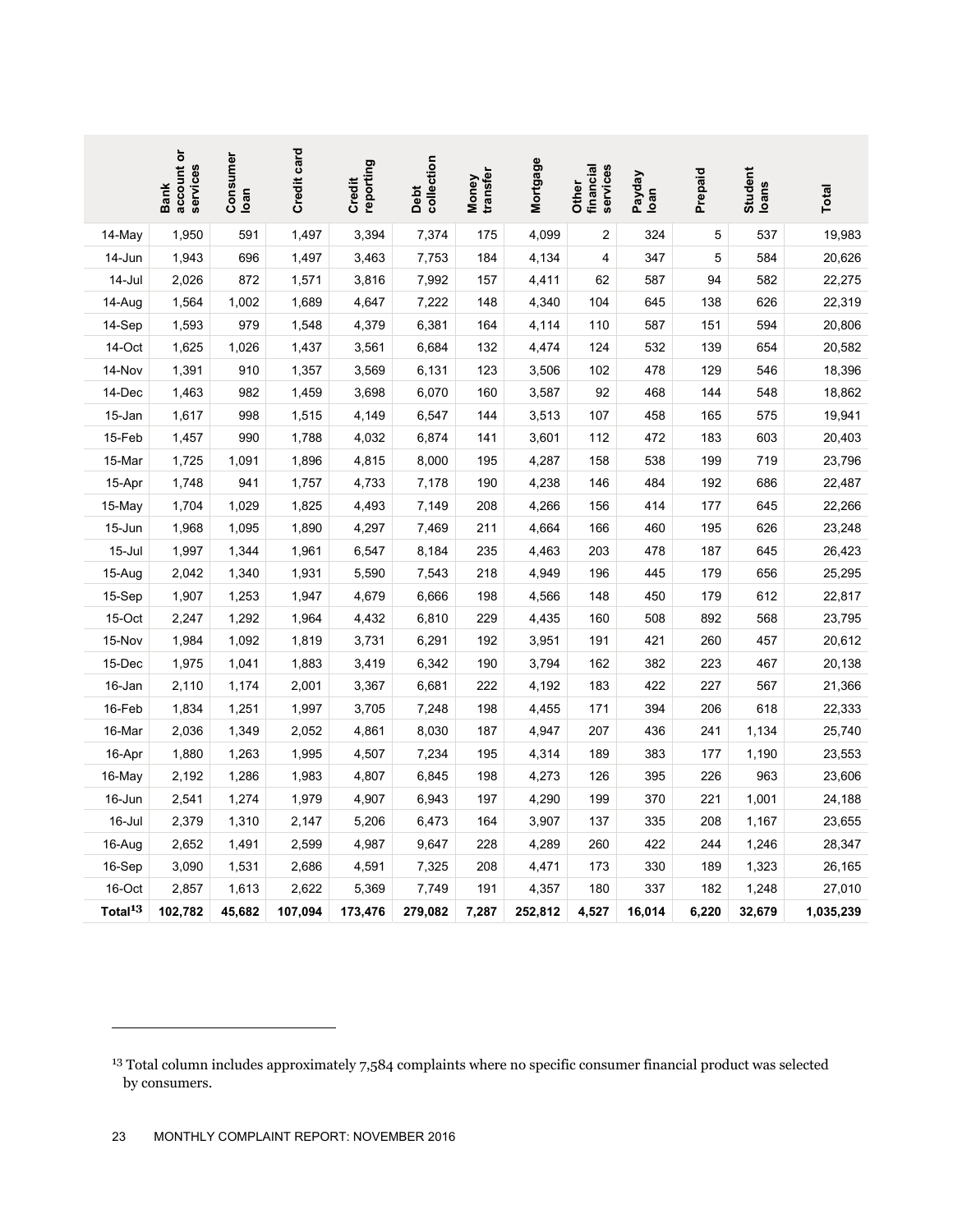|                     | account or<br>services<br><b>Bank</b>                                                                                                         | Consumer<br>loan | Credit card | reporting<br>Credit | collection<br>Debt | transfer<br>Money | Mortgage | financial<br>services<br>Other | Payday<br>Ioan | Prepaid | Student<br><b>loans</b> | Total     |
|---------------------|-----------------------------------------------------------------------------------------------------------------------------------------------|------------------|-------------|---------------------|--------------------|-------------------|----------|--------------------------------|----------------|---------|-------------------------|-----------|
| 14-May              | 1,950                                                                                                                                         | 591              | 1,497       | 3,394               | 7,374              | 175               | 4,099    | $\overline{\mathbf{c}}$        | 324            | 5       | 537                     | 19,983    |
| 14-Jun              | 1,943                                                                                                                                         | 696              | 1,497       | 3,463               | 7,753              | 184               | 4,134    | 4                              | 347            | 5       | 584                     | 20,626    |
| 14-Jul              | 2,026                                                                                                                                         | 872              | 1,571       | 3,816               | 7,992              | 157               | 4,411    | 62                             | 587            | 94      | 582                     | 22,275    |
| 14-Aug              | 1,564                                                                                                                                         | 1,002            | 1,689       | 4,647               | 7,222              | 148               | 4,340    | 104                            | 645            | 138     | 626                     | 22,319    |
| 14-Sep              | 1,593                                                                                                                                         | 979              | 1,548       | 4,379               | 6,381              | 164               | 4,114    | 110                            | 587            | 151     | 594                     | 20,806    |
| 14-Oct              | 1,625                                                                                                                                         | 1,026            | 1,437       | 3,561               | 6,684              | 132               | 4,474    | 124                            | 532            | 139     | 654                     | 20,582    |
| 14-Nov              | 1,391                                                                                                                                         | 910              | 1,357       | 3,569               | 6,131              | 123               | 3,506    | 102                            | 478            | 129     | 546                     | 18,396    |
| 14-Dec              | 1,463                                                                                                                                         | 982              | 1,459       | 3,698               | 6,070              | 160               | 3,587    | 92                             | 468            | 144     | 548                     | 18,862    |
| 15-Jan              | 1,617                                                                                                                                         | 998              | 1,515       | 4,149               | 6,547              | 144               | 3,513    | 107                            | 458            | 165     | 575                     | 19,941    |
| 15-Feb              | 1,457                                                                                                                                         | 990              | 1,788       | 4,032               | 6,874              | 141               | 3,601    | 112                            | 472            | 183     | 603                     | 20,403    |
| 15-Mar              | 1,725                                                                                                                                         | 1,091            | 1,896       | 4,815               | 8,000              | 195               | 4,287    | 158                            | 538            | 199     | 719                     | 23,796    |
| 15-Apr              | 1,748                                                                                                                                         | 941              | 1,757       | 4,733               | 7,178              | 190               | 4,238    | 146                            | 484            | 192     | 686                     | 22,487    |
| 15-May              | 1,704                                                                                                                                         | 1,029            | 1,825       | 4,493               | 7,149              | 208               | 4,266    | 156                            | 414            | 177     | 645                     | 22,266    |
| 15-Jun              | 1,968                                                                                                                                         | 1,095            | 1,890       | 4,297               | 7,469              | 211               | 4,664    | 166                            | 460            | 195     | 626                     | 23,248    |
| 15-Jul              | 1,997                                                                                                                                         | 1,344            | 1,961       | 6,547               | 8,184              | 235               | 4,463    | 203                            | 478            | 187     | 645                     | 26,423    |
| 15-Aug              | 2,042                                                                                                                                         | 1,340            | 1,931       | 5,590               | 7,543              | 218               | 4,949    | 196                            | 445            | 179     | 656                     | 25,295    |
| 15-Sep              | 1,907                                                                                                                                         | 1,253            | 1,947       | 4,679               | 6,666              | 198               | 4,566    | 148                            | 450            | 179     | 612                     | 22,817    |
| 15-Oct              | 2,247                                                                                                                                         | 1,292            | 1,964       | 4,432               | 6,810              | 229               | 4,435    | 160                            | 508            | 892     | 568                     | 23,795    |
| 15-Nov              | 1,984                                                                                                                                         | 1,092            | 1,819       | 3,731               | 6,291              | 192               | 3,951    | 191                            | 421            | 260     | 457                     | 20,612    |
| 15-Dec              | 1,975                                                                                                                                         | 1,041            | 1,883       | 3,419               | 6,342              | 190               | 3,794    | 162                            | 382            | 223     | 467                     | 20,138    |
| 16-Jan              | 2,110                                                                                                                                         | 1,174            | 2,001       | 3,367               | 6,681              | 222               | 4,192    | 183                            | 422            | 227     | 567                     | 21,366    |
| 16-Feb              | 1,834                                                                                                                                         | 1,251            | 1,997       | 3,705               | 7,248              | 198               | 4,455    | 171                            | 394            | 206     | 618                     | 22,333    |
| 16-Mar              | 2,036                                                                                                                                         | 1,349            | 2,052       | 4,861               | 8,030              | 187               | 4,947    | 207                            | 436            | 241     | 1,134                   | 25,740    |
| 16-Apr              | 1,880                                                                                                                                         | 1,263            | 1,995       | 4,507               | 7,234              | 195               | 4,314    | 189                            | 383            | 177     | 1,190                   | 23,553    |
| 16-May              | 2,192                                                                                                                                         | 1,286            | 1,983       | 4,807               | 6,845              | 198               | 4,273    | 126                            | 395            | 226     | 963                     | 23,606    |
| 16-Jun              | 2,541                                                                                                                                         | 1,274            | 1,979       | 4,907               | 6,943              | 197               | 4,290    | 199                            | 370            | 221     | 1,001                   | 24,188    |
| 16-Jul              | 2,379                                                                                                                                         | 1,310            | 2,147       | 5,206               | 6,473              | 164               | 3,907    | 137                            | 335            | 208     | 1,167                   | 23,655    |
| 16-Aug              | 2,652                                                                                                                                         | 1,491            | 2,599       | 4,987               | 9,647              | 228               | 4,289    | 260                            | 422            | 244     | 1,246                   | 28,347    |
| 16-Sep              | 3,090                                                                                                                                         | 1,531            | 2,686       | 4,591               | 7,325              | 208               | 4,471    | 173                            | 330            | 189     | 1,323                   | 26,165    |
| 16-Oct              | 2,857                                                                                                                                         | 1,613            | 2,622       | 5,369               | 7,749              | 191               | 4,357    | 180                            | 337            | 182     | 1,248                   | 27,010    |
| Total <sup>13</sup> | 102,782                                                                                                                                       | 45,682           | 107,094     | 173,476             | 279,082            | 7,287             | 252,812  | 4,527                          | 16,014         | 6,220   | 32,679                  | 1,035,239 |
|                     |                                                                                                                                               |                  |             |                     |                    |                   |          |                                |                |         |                         |           |
|                     | <sup>13</sup> Total column includes approximately 7,584 complaints where no specific consumer financial product was selected<br>by consumers. |                  |             |                     |                    |                   |          |                                |                |         |                         |           |

<sup>13</sup> Total column includes approximately 7,584 complaints where no specific consumer financial product was selected by consumers.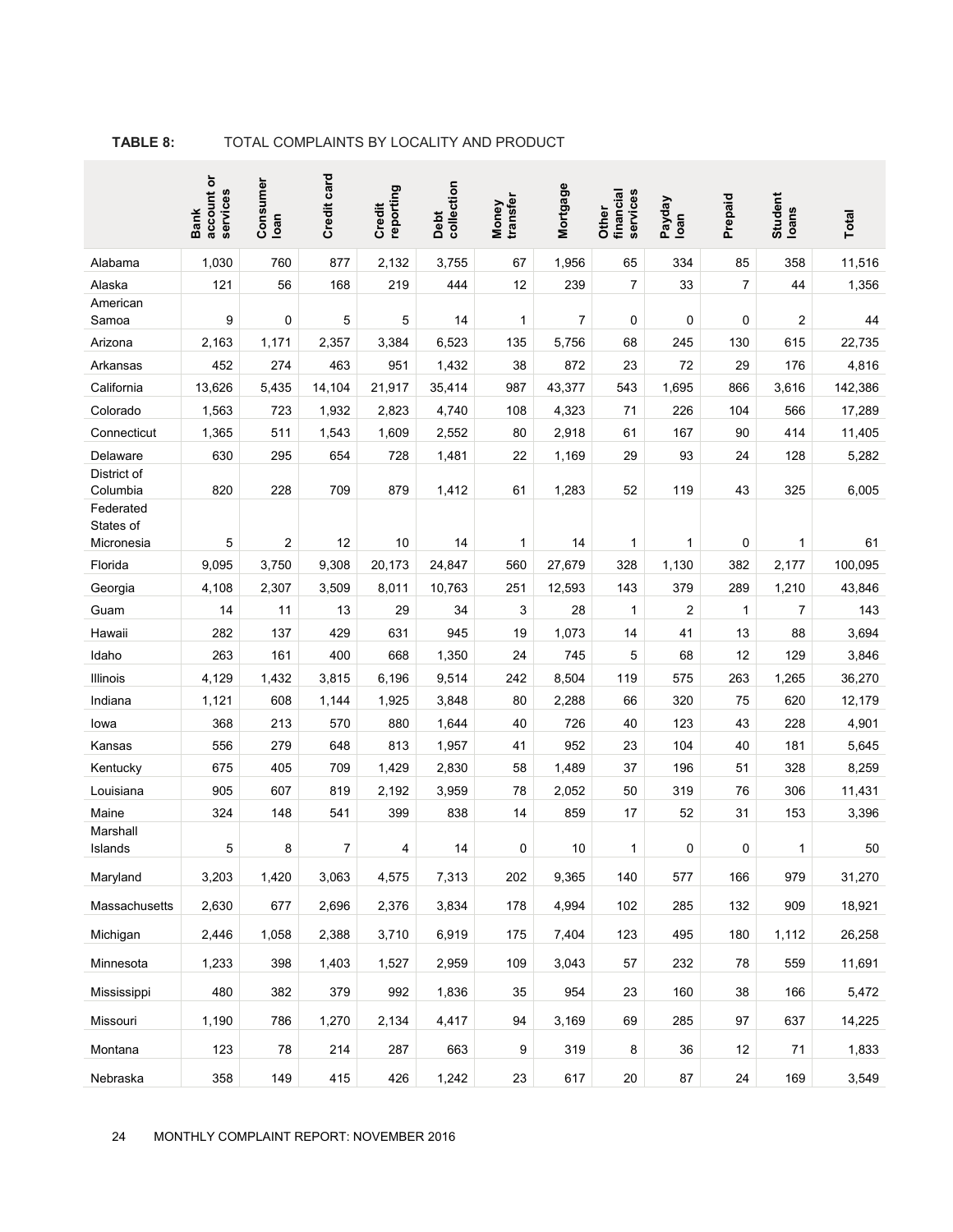|                       | account or<br>services<br><b>Bank</b> | Consumer<br>loan | Credit card | reporting<br>Credit | collection<br>Debt | transfer<br>Money | Mortgage | financial<br>services<br>Other | Payday<br>loan | Prepaid        | Student<br>Ioans | Total   |
|-----------------------|---------------------------------------|------------------|-------------|---------------------|--------------------|-------------------|----------|--------------------------------|----------------|----------------|------------------|---------|
| Alabama               | 1,030                                 | 760              | 877         | 2,132               | 3,755              | 67                | 1,956    | 65                             | 334            | 85             | 358              | 11,516  |
| Alaska                | 121                                   | 56               | 168         | 219                 | 444                | 12                | 239      | $\overline{7}$                 | 33             | $\overline{7}$ | 44               | 1,356   |
| American              |                                       |                  |             |                     |                    |                   |          |                                |                |                |                  |         |
| Samoa                 | 9                                     | 0                | 5           | 5                   | 14                 | 1                 | 7        | 0                              | 0              | 0              | 2                | 44      |
| Arizona               | 2,163                                 | 1,171            | 2,357       | 3,384               | 6,523              | 135               | 5,756    | 68                             | 245            | 130            | 615              | 22,735  |
| Arkansas              | 452                                   | 274              | 463         | 951                 | 1,432              | 38                | 872      | 23                             | 72             | 29             | 176              | 4,816   |
| California            | 13,626                                | 5,435            | 14,104      | 21,917              | 35,414             | 987               | 43,377   | 543                            | 1,695          | 866            | 3,616            | 142,386 |
| Colorado              | 1,563                                 | 723              | 1,932       | 2,823               | 4,740              | 108               | 4,323    | 71                             | 226            | 104            | 566              | 17,289  |
| Connecticut           | 1,365                                 | 511              | 1,543       | 1,609               | 2,552              | 80                | 2,918    | 61                             | 167            | 90             | 414              | 11,405  |
| Delaware              | 630                                   | 295              | 654         | 728                 | 1,481              | 22                | 1,169    | 29                             | 93             | 24             | 128              | 5,282   |
| District of           | 820                                   | 228              | 709         | 879                 |                    | 61                |          | 52                             | 119            | 43             | 325              |         |
| Columbia<br>Federated |                                       |                  |             |                     | 1,412              |                   | 1,283    |                                |                |                |                  | 6,005   |
| States of             |                                       |                  |             |                     |                    |                   |          |                                |                |                |                  |         |
| Micronesia            | 5                                     | 2                | 12          | 10                  | 14                 | 1                 | 14       | 1                              | 1              | 0              | 1                | 61      |
| Florida               | 9,095                                 | 3,750            | 9,308       | 20,173              | 24,847             | 560               | 27,679   | 328                            | 1,130          | 382            | 2,177            | 100,095 |
| Georgia               | 4,108                                 | 2,307            | 3,509       | 8,011               | 10,763             | 251               | 12,593   | 143                            | 379            | 289            | 1,210            | 43,846  |
| Guam                  | 14                                    | 11               | 13          | 29                  | 34                 | 3                 | 28       | $\mathbf{1}$                   | $\overline{2}$ | $\mathbf{1}$   | 7                | 143     |
| Hawaii                | 282                                   | 137              | 429         | 631                 | 945                | 19                | 1,073    | 14                             | 41             | 13             | 88               | 3,694   |
| Idaho                 | 263                                   | 161              | 400         | 668                 | 1,350              | 24                | 745      | 5                              | 68             | 12             | 129              | 3,846   |
| Illinois              | 4,129                                 | 1,432            | 3,815       | 6,196               | 9,514              | 242               | 8,504    | 119                            | 575            | 263            | 1,265            | 36,270  |
| Indiana               | 1,121                                 | 608              | 1,144       | 1,925               | 3,848              | 80                | 2,288    | 66                             | 320            | 75             | 620              | 12,179  |
| lowa                  | 368                                   | 213              | 570         | 880                 | 1,644              | 40                | 726      | 40                             | 123            | 43             | 228              | 4,901   |
| Kansas                | 556                                   | 279              | 648         | 813                 | 1,957              | 41                | 952      | 23                             | 104            | 40             | 181              | 5,645   |
| Kentucky              | 675                                   | 405              | 709         | 1,429               | 2,830              | 58                | 1,489    | 37                             | 196            | 51             | 328              | 8,259   |
| Louisiana             | 905                                   | 607              | 819         | 2,192               | 3,959              | 78                | 2,052    | 50                             | 319            | 76             | 306              | 11,431  |
| Maine                 | 324                                   | 148              | 541         | 399                 | 838                | 14                | 859      | 17                             | 52             | 31             | 153              | 3,396   |
| Marshall              |                                       |                  |             |                     |                    |                   |          |                                |                |                |                  |         |
| Islands               | 5                                     | 8                | 7           | 4                   | 14                 | 0                 | 10       | 1                              | $\mathbf 0$    | $\mathbf 0$    | 1                | 50      |
| Maryland              | 3,203                                 | 1,420            | 3,063       | 4,575               | 7,313              | 202               | 9,365    | 140                            | 577            | 166            | 979              | 31,270  |
| Massachusetts         | 2,630                                 | 677              | 2,696       | 2,376               | 3,834              | 178               | 4,994    | 102                            | 285            | 132            | 909              | 18,921  |
| Michigan              | 2,446                                 | 1,058            | 2,388       | 3,710               | 6,919              | 175               | 7,404    | 123                            | 495            | 180            | 1,112            | 26,258  |
| Minnesota             | 1,233                                 | 398              | 1,403       | 1,527               | 2,959              | 109               | 3,043    | 57                             | 232            | 78             | 559              | 11,691  |
| Mississippi           | 480                                   | 382              | 379         | 992                 | 1,836              | 35                | 954      | 23                             | 160            | 38             | 166              | 5,472   |
| Missouri              | 1,190                                 | 786              | 1,270       | 2,134               | 4,417              | 94                | 3,169    | 69                             | 285            | 97             | 637              | 14,225  |
| Montana               | 123                                   | 78               | 214         | 287                 | 663                | 9                 | 319      | 8                              | 36             | 12             | 71               | 1,833   |
| Nebraska              | 358                                   | 149              | 415         | 426                 | 1,242              | 23                | 617      | $20\,$                         | 87             | 24             | 169              | 3,549   |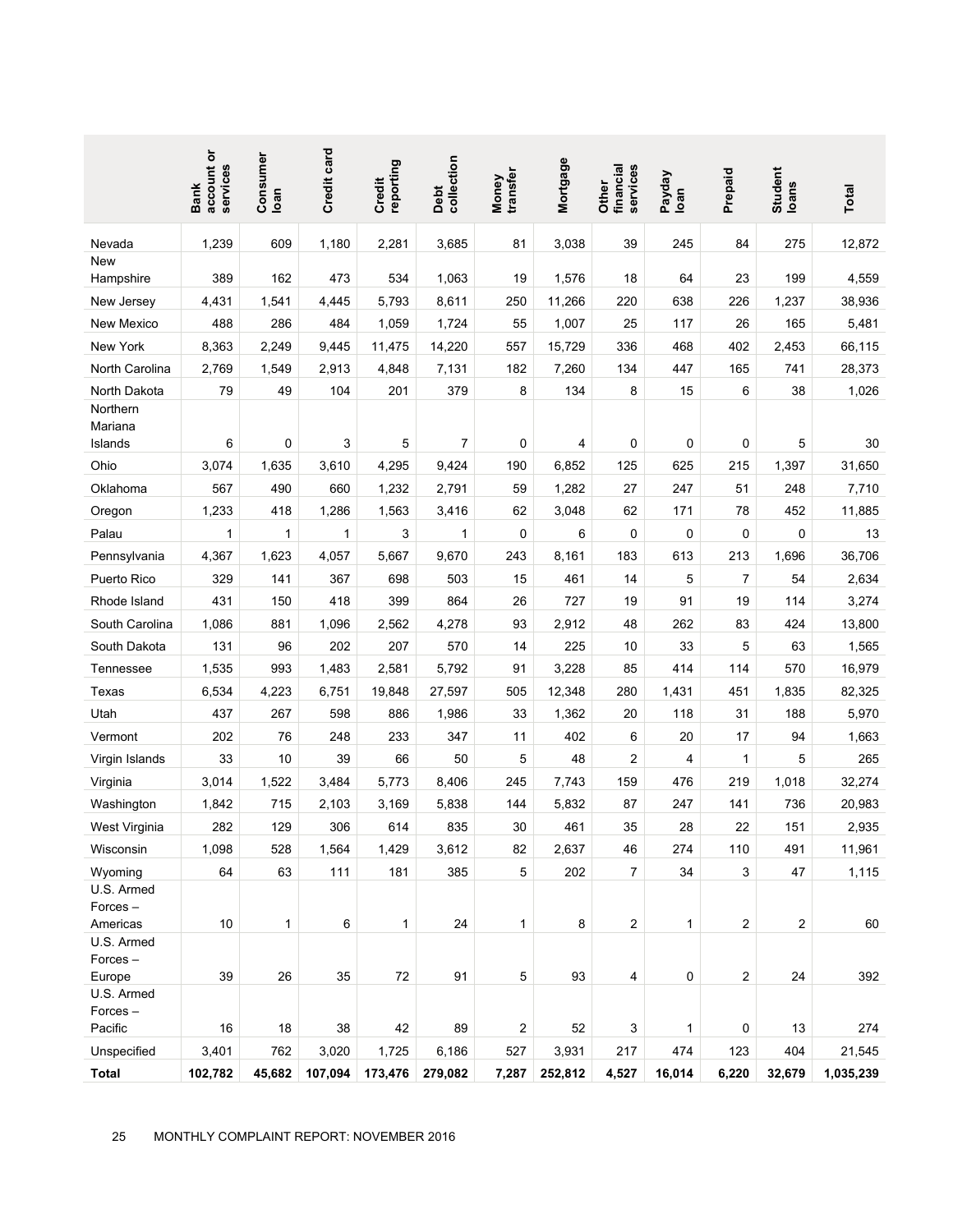|                                 | account or<br>services<br><b>Bank</b>              | Consumer<br>loan | Credit card | reporting<br>Credit | collection<br>Debt | transfer<br>Money | Mortgage | services<br>financial<br>Other | Payday<br>Ioan | Prepaid | Student<br>Ioans | Total     |
|---------------------------------|----------------------------------------------------|------------------|-------------|---------------------|--------------------|-------------------|----------|--------------------------------|----------------|---------|------------------|-----------|
| Nevada                          | 1,239                                              | 609              | 1,180       | 2,281               | 3,685              | 81                | 3,038    | 39                             | 245            | 84      | 275              | 12,872    |
| <b>New</b><br>Hampshire         | 389                                                | 162              | 473         | 534                 | 1,063              | 19                | 1,576    | 18                             | 64             | 23      | 199              | 4,559     |
| New Jersey                      | 4,431                                              | 1,541            | 4,445       | 5,793               | 8,611              | 250               | 11,266   | 220                            | 638            | 226     | 1,237            | 38,936    |
| New Mexico                      | 488                                                | 286              | 484         | 1,059               | 1,724              | 55                | 1,007    | 25                             | 117            | 26      | 165              | 5,481     |
| New York                        | 8,363                                              | 2,249            | 9,445       | 11,475              | 14,220             | 557               | 15,729   | 336                            | 468            | 402     | 2,453            | 66,115    |
| North Carolina                  | 2,769                                              | 1,549            | 2,913       | 4,848               | 7,131              | 182               | 7,260    | 134                            | 447            | 165     | 741              | 28,373    |
| North Dakota                    | 79                                                 | 49               | 104         | 201                 | 379                | 8                 | 134      | 8                              | 15             | 6       | 38               | 1,026     |
| Northern<br>Mariana<br>Islands  | 6                                                  | 0                | 3           | 5                   | 7                  | 0                 | 4        | 0                              | 0              | 0       | 5                | 30        |
| Ohio                            | 3,074                                              | 1,635            | 3,610       | 4,295               | 9,424              | 190               | 6,852    | 125                            | 625            | 215     | 1,397            | 31,650    |
| Oklahoma                        | 567                                                | 490              | 660         | 1,232               | 2,791              | 59                | 1,282    | 27                             | 247            | 51      | 248              | 7,710     |
| Oregon                          | 1,233                                              | 418              | 1,286       | 1,563               | 3,416              | 62                | 3,048    | 62                             | 171            | 78      | 452              | 11,885    |
| Palau                           | 1                                                  | 1                | 1           | 3                   | 1                  | 0                 | 6        | 0                              | 0              | 0       | 0                | 13        |
| Pennsylvania                    | 4,367                                              | 1,623            | 4,057       | 5,667               | 9,670              | 243               | 8,161    | 183                            | 613            | 213     | 1,696            | 36,706    |
| Puerto Rico                     | 329                                                | 141              | 367         | 698                 | 503                | 15                | 461      | 14                             | 5              | 7       | 54               | 2,634     |
| Rhode Island                    | 431                                                | 150              | 418         | 399                 | 864                | 26                | 727      | 19                             | 91             | 19      | 114              | 3,274     |
| South Carolina                  | 1,086                                              | 881              | 1,096       | 2,562               | 4,278              | 93                | 2,912    | 48                             | 262            | 83      | 424              | 13,800    |
| South Dakota                    | 131                                                | 96               | 202         | 207                 | 570                | 14                | 225      | 10                             | 33             | 5       | 63               | 1,565     |
| Tennessee                       | 1,535                                              | 993              | 1,483       | 2,581               | 5,792              | 91                | 3,228    | 85                             | 414            | 114     | 570              | 16,979    |
| Texas                           | 6,534                                              | 4,223            | 6,751       | 19,848              | 27,597             | 505               | 12,348   | 280                            | 1,431          | 451     | 1,835            | 82,325    |
| Utah                            | 437                                                | 267              | 598         | 886                 | 1,986              | 33                | 1,362    | 20                             | 118            | 31      | 188              | 5,970     |
| Vermont                         | 202                                                | 76               | 248         | 233                 | 347                | 11                | 402      | 6                              | 20             | 17      | 94               | 1,663     |
| Virgin Islands                  | 33                                                 | 10               | 39          | 66                  | 50                 | 5                 | 48       | 2                              | 4              | 1       | 5                | 265       |
| Virginia                        | 3,014                                              | 1,522            | 3,484       | 5,773               | 8,406              | 245               | 7,743    | 159                            | 476            | 219     | 1,018            | 32,274    |
| Washington                      | 1,842                                              | 715              | 2,103       | 3,169               | 5,838              | 144               | 5,832    | 87                             | 247            | 141     | 736              | 20,983    |
| West Virginia                   | 282                                                | 129              | 306         | 614                 | 835                | 30                | 461      | 35                             | 28             | 22      | 151              | 2,935     |
| Wisconsin                       | 1,098                                              | 528              | 1,564       | 1,429               | 3,612              | 82                | 2,637    | 46                             | 274            | 110     | 491              | 11,961    |
| Wyoming<br>U.S. Armed           | 64                                                 | 63               | 111         | 181                 | 385                | 5                 | 202      | $\overline{7}$                 | 34             | 3       | 47               | 1,115     |
| Forces-<br>Americas             | 10                                                 | 1                | 6           | 1                   | 24                 | 1                 | 8        | $\overline{c}$                 | $\mathbf{1}$   | 2       | $\overline{2}$   | 60        |
| U.S. Armed<br>Forces-<br>Europe | 39                                                 | 26               | 35          | 72                  | 91                 | 5                 | 93       | 4                              | 0              | 2       | 24               | 392       |
| U.S. Armed<br>Forces-           |                                                    |                  |             |                     |                    |                   |          |                                |                |         |                  |           |
| Pacific                         | 16                                                 | 18               | 38          | 42                  | 89                 | 2                 | 52       | 3                              | 1              | 0       | 13               | 274       |
| Unspecified                     | 3,401                                              | 762              | 3,020       | 1,725               | 6,186              | 527               | 3,931    | 217                            | 474            | 123     | 404              | 21,545    |
| <b>Total</b><br>25              | 102,782<br>MONTHLY COMPLAINT REPORT: NOVEMBER 2016 | 45,682           | 107,094     | 173,476             | 279,082            | 7,287             | 252,812  | 4,527                          | 16,014         | 6,220   | 32,679           | 1,035,239 |